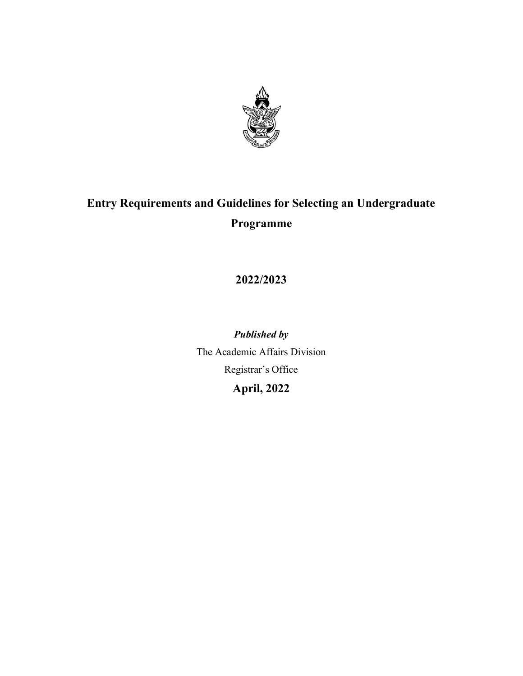

# Entry Requirements and Guidelines for Selecting an Undergraduate Programme

2022/2023

Published by The Academic Affairs Division Registrar's Office April, 2022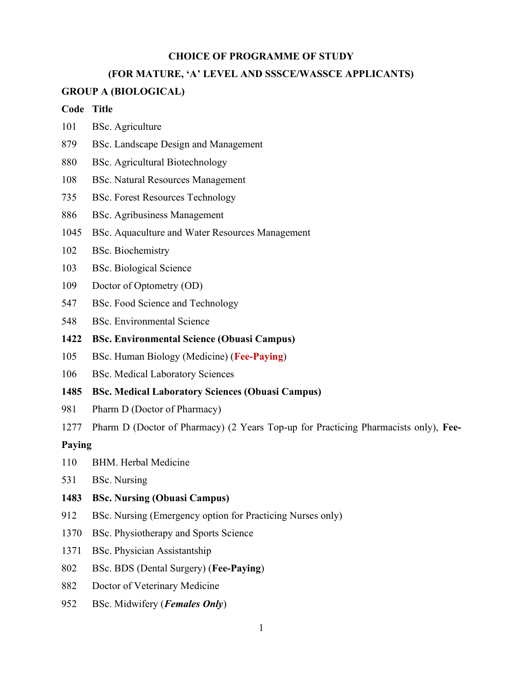#### CHOICE OF PROGRAMME OF STUDY

#### (FOR MATURE, 'A' LEVEL AND SSSCE/WASSCE APPLICANTS)

#### GROUP A (BIOLOGICAL)

#### Code Title

- 101 BSc. Agriculture
- 879 BSc. Landscape Design and Management
- 880 BSc. Agricultural Biotechnology
- 108 BSc. Natural Resources Management
- 735 BSc. Forest Resources Technology
- 886 BSc. Agribusiness Management
- 1045 BSc. Aquaculture and Water Resources Management
- 102 BSc. Biochemistry
- 103 BSc. Biological Science
- 109 Doctor of Optometry (OD)
- 547 BSc. Food Science and Technology
- 548 BSc. Environmental Science
- 1422 BSc. Environmental Science (Obuasi Campus)
- 105 BSc. Human Biology (Medicine) (Fee-Paying)
- 106 BSc. Medical Laboratory Sciences
- 1485 BSc. Medical Laboratory Sciences (Obuasi Campus)
- 981 Pharm D (Doctor of Pharmacy)
- 1277 Pharm D (Doctor of Pharmacy) (2 Years Top-up for Practicing Pharmacists only), Fee-

#### Paying

- 110 BHM. Herbal Medicine
- 531 BSc. Nursing
- 1483 BSc. Nursing (Obuasi Campus)
- 912 BSc. Nursing (Emergency option for Practicing Nurses only)
- 1370 BSc. Physiotherapy and Sports Science
- 1371 BSc. Physician Assistantship
- 802 BSc. BDS (Dental Surgery) (Fee-Paying)
- 882 Doctor of Veterinary Medicine
- 952 BSc. Midwifery (*Females Only*)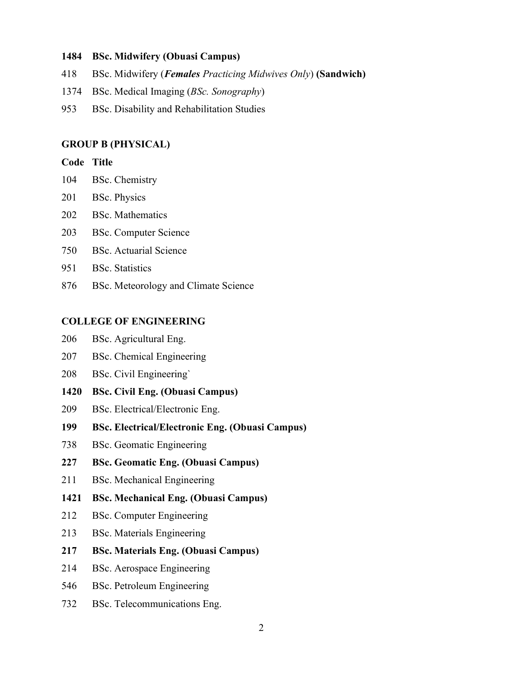### 1484 BSc. Midwifery (Obuasi Campus)

- 418 BSc. Midwifery (Females Practicing Midwives Only) (Sandwich)
- 1374 BSc. Medical Imaging (BSc. Sonography)
- 953 BSc. Disability and Rehabilitation Studies

### GROUP B (PHYSICAL)

### Code Title

- 104 BSc. Chemistry
- 201 BSc. Physics
- 202 BSc. Mathematics
- 203 BSc. Computer Science
- 750 BSc. Actuarial Science
- 951 BSc. Statistics
- 876 BSc. Meteorology and Climate Science

### COLLEGE OF ENGINEERING

- 206 BSc. Agricultural Eng.
- 207 BSc. Chemical Engineering
- 208 BSc. Civil Engineering`
- 1420 BSc. Civil Eng. (Obuasi Campus)
- 209 BSc. Electrical/Electronic Eng.
- 199 BSc. Electrical/Electronic Eng. (Obuasi Campus)
- 738 BSc. Geomatic Engineering
- 227 BSc. Geomatic Eng. (Obuasi Campus)
- 211 BSc. Mechanical Engineering
- 1421 BSc. Mechanical Eng. (Obuasi Campus)
- 212 BSc. Computer Engineering
- 213 BSc. Materials Engineering
- 217 BSc. Materials Eng. (Obuasi Campus)
- 214 BSc. Aerospace Engineering
- 546 BSc. Petroleum Engineering
- 732 BSc. Telecommunications Eng.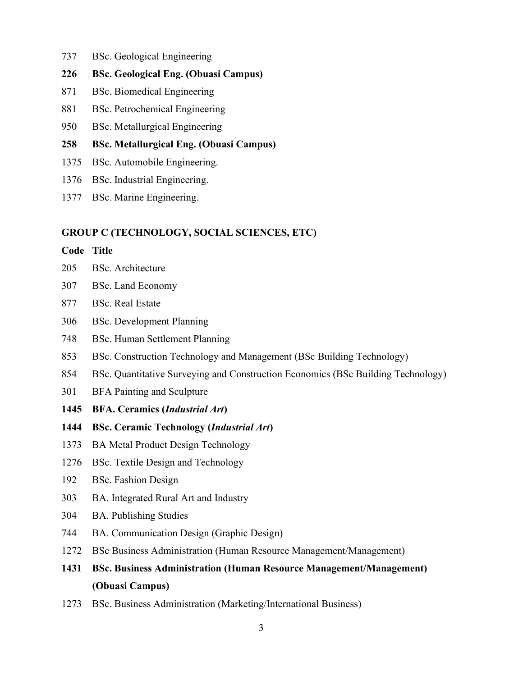- 737 BSc. Geological Engineering
- 226 BSc. Geological Eng. (Obuasi Campus)
- 871 BSc. Biomedical Engineering
- 881 BSc. Petrochemical Engineering
- 950 BSc. Metallurgical Engineering
- 258 BSc. Metallurgical Eng. (Obuasi Campus)
- 1375 BSc. Automobile Engineering.
- 1376 BSc. Industrial Engineering.
- 1377 BSc. Marine Engineering.

#### GROUP C (TECHNOLOGY, SOCIAL SCIENCES, ETC)

#### Code Title

- 205 BSc. Architecture
- 307 BSc. Land Economy
- 877 BSc. Real Estate
- 306 BSc. Development Planning
- 748 BSc. Human Settlement Planning
- 853 BSc. Construction Technology and Management (BSc Building Technology)
- 854 BSc. Quantitative Surveying and Construction Economics (BSc Building Technology)
- 301 BFA Painting and Sculpture
- 1445 BFA. Ceramics (Industrial Art)
- 1444 BSc. Ceramic Technology (Industrial Art)
- 1373 BA Metal Product Design Technology
- 1276 BSc. Textile Design and Technology
- 192 BSc. Fashion Design
- 303 BA. Integrated Rural Art and Industry
- 304 BA. Publishing Studies
- 744 BA. Communication Design (Graphic Design)
- 1272 BSc Business Administration (Human Resource Management/Management)
- 1431 BSc. Business Administration (Human Resource Management/Management) (Obuasi Campus)
- 1273 BSc. Business Administration (Marketing/International Business)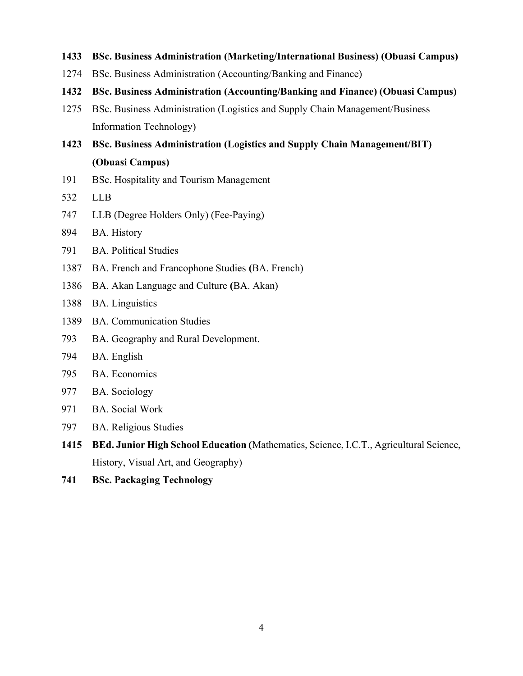- 1433 BSc. Business Administration (Marketing/International Business) (Obuasi Campus)
- 1274 BSc. Business Administration (Accounting/Banking and Finance)
- 1432 BSc. Business Administration (Accounting/Banking and Finance) (Obuasi Campus)
- 1275 BSc. Business Administration (Logistics and Supply Chain Management/Business Information Technology)
- 1423 BSc. Business Administration (Logistics and Supply Chain Management/BIT) (Obuasi Campus)
- 191 BSc. Hospitality and Tourism Management
- 532 LLB
- 747 LLB (Degree Holders Only) (Fee-Paying)
- 894 BA. History
- 791 BA. Political Studies
- 1387 BA. French and Francophone Studies (BA. French)
- 1386 BA. Akan Language and Culture (BA. Akan)
- 1388 BA. Linguistics
- 1389 BA. Communication Studies
- 793 BA. Geography and Rural Development.
- 794 BA. English
- 795 BA. Economics
- 977 BA. Sociology
- 971 BA. Social Work
- 797 BA. Religious Studies
- 1415 BEd. Junior High School Education (Mathematics, Science, I.C.T., Agricultural Science, History, Visual Art, and Geography)
- 741 BSc. Packaging Technology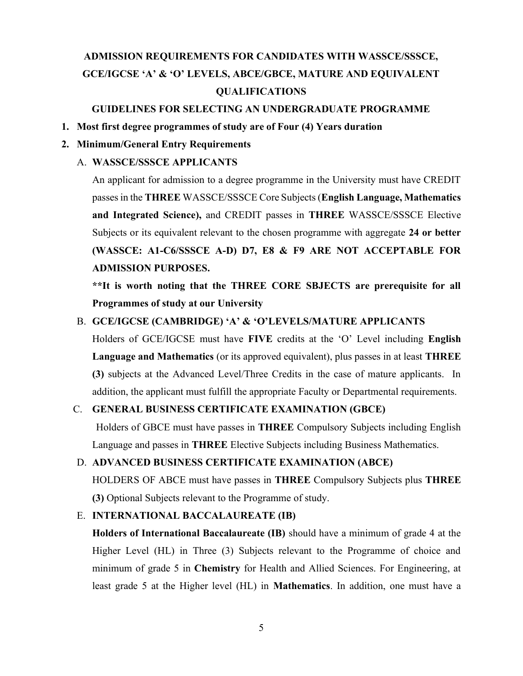# ADMISSION REQUIREMENTS FOR CANDIDATES WITH WASSCE/SSSCE, GCE/IGCSE 'A' & 'O' LEVELS, ABCE/GBCE, MATURE AND EQUIVALENT QUALIFICATIONS

### GUIDELINES FOR SELECTING AN UNDERGRADUATE PROGRAMME

#### 1. Most first degree programmes of study are of Four (4) Years duration

### 2. Minimum/General Entry Requirements

## A. WASSCE/SSSCE APPLICANTS

An applicant for admission to a degree programme in the University must have CREDIT passes in the THREE WASSCE/SSSCE Core Subjects (English Language, Mathematics and Integrated Science), and CREDIT passes in THREE WASSCE/SSSCE Elective Subjects or its equivalent relevant to the chosen programme with aggregate 24 or better (WASSCE: A1-C6/SSSCE A-D) D7, E8 & F9 ARE NOT ACCEPTABLE FOR ADMISSION PURPOSES.

\*\*It is worth noting that the THREE CORE SBJECTS are prerequisite for all Programmes of study at our University

### B. GCE/IGCSE (CAMBRIDGE) 'A' & 'O'LEVELS/MATURE APPLICANTS

Holders of GCE/IGCSE must have FIVE credits at the 'O' Level including English Language and Mathematics (or its approved equivalent), plus passes in at least THREE (3) subjects at the Advanced Level/Three Credits in the case of mature applicants. In addition, the applicant must fulfill the appropriate Faculty or Departmental requirements.

### C. GENERAL BUSINESS CERTIFICATE EXAMINATION (GBCE)

Holders of GBCE must have passes in THREE Compulsory Subjects including English Language and passes in THREE Elective Subjects including Business Mathematics.

### D. ADVANCED BUSINESS CERTIFICATE EXAMINATION (ABCE)

HOLDERS OF ABCE must have passes in THREE Compulsory Subjects plus THREE (3) Optional Subjects relevant to the Programme of study.

#### E. INTERNATIONAL BACCALAUREATE (IB)

Holders of International Baccalaureate (IB) should have a minimum of grade 4 at the Higher Level (HL) in Three (3) Subjects relevant to the Programme of choice and minimum of grade 5 in Chemistry for Health and Allied Sciences. For Engineering, at least grade 5 at the Higher level (HL) in Mathematics. In addition, one must have a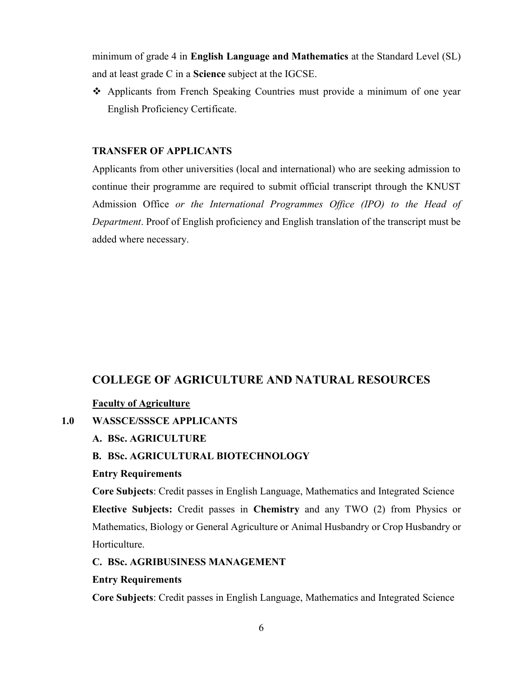minimum of grade 4 in English Language and Mathematics at the Standard Level (SL) and at least grade C in a Science subject at the IGCSE.

 Applicants from French Speaking Countries must provide a minimum of one year English Proficiency Certificate.

#### TRANSFER OF APPLICANTS

Applicants from other universities (local and international) who are seeking admission to continue their programme are required to submit official transcript through the KNUST Admission Office or the International Programmes Office (IPO) to the Head of Department. Proof of English proficiency and English translation of the transcript must be added where necessary.

## COLLEGE OF AGRICULTURE AND NATURAL RESOURCES

#### Faculty of Agriculture

1.0 WASSCE/SSSCE APPLICANTS

#### A. BSc. AGRICULTURE

### B. BSc. AGRICULTURAL BIOTECHNOLOGY

#### Entry Requirements

Core Subjects: Credit passes in English Language, Mathematics and Integrated Science Elective Subjects: Credit passes in Chemistry and any TWO (2) from Physics or Mathematics, Biology or General Agriculture or Animal Husbandry or Crop Husbandry or Horticulture.

#### C. BSc. AGRIBUSINESS MANAGEMENT

#### Entry Requirements

Core Subjects: Credit passes in English Language, Mathematics and Integrated Science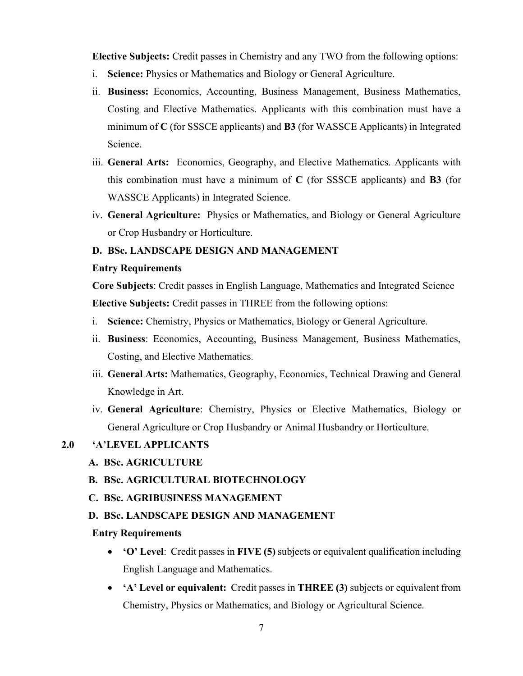Elective Subjects: Credit passes in Chemistry and any TWO from the following options:

- i. Science: Physics or Mathematics and Biology or General Agriculture.
- ii. Business: Economics, Accounting, Business Management, Business Mathematics, Costing and Elective Mathematics. Applicants with this combination must have a minimum of  $C$  (for SSSCE applicants) and  $B3$  (for WASSCE Applicants) in Integrated Science.
- iii. General Arts: Economics, Geography, and Elective Mathematics. Applicants with this combination must have a minimum of  $C$  (for SSSCE applicants) and **B3** (for WASSCE Applicants) in Integrated Science.
- iv. General Agriculture: Physics or Mathematics, and Biology or General Agriculture or Crop Husbandry or Horticulture.

### D. BSc. LANDSCAPE DESIGN AND MANAGEMENT

### Entry Requirements

Core Subjects: Credit passes in English Language, Mathematics and Integrated Science Elective Subjects: Credit passes in THREE from the following options:

- i. Science: Chemistry, Physics or Mathematics, Biology or General Agriculture.
- ii. Business: Economics, Accounting, Business Management, Business Mathematics, Costing, and Elective Mathematics.
- iii. General Arts: Mathematics, Geography, Economics, Technical Drawing and General Knowledge in Art.
- iv. General Agriculture: Chemistry, Physics or Elective Mathematics, Biology or General Agriculture or Crop Husbandry or Animal Husbandry or Horticulture.

### 2.0 'A'LEVEL APPLICANTS

- A. BSc. AGRICULTURE
- B. BSc. AGRICULTURAL BIOTECHNOLOGY
- C. BSc. AGRIBUSINESS MANAGEMENT
- D. BSc. LANDSCAPE DESIGN AND MANAGEMENT

## Entry Requirements

- 'O' Level: Credit passes in FIVE (5) subjects or equivalent qualification including English Language and Mathematics.
- 'A' Level or equivalent: Credit passes in THREE (3) subjects or equivalent from Chemistry, Physics or Mathematics, and Biology or Agricultural Science.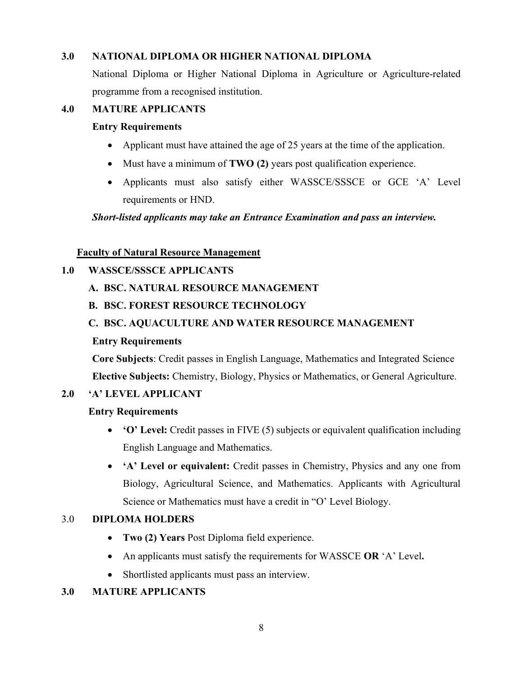## 3.0 NATIONAL DIPLOMA OR HIGHER NATIONAL DIPLOMA

National Diploma or Higher National Diploma in Agriculture or Agriculture-related programme from a recognised institution.

## 4.0 MATURE APPLICANTS

### Entry Requirements

- Applicant must have attained the age of 25 years at the time of the application.
- Must have a minimum of TWO (2) years post qualification experience.
- Applicants must also satisfy either WASSCE/SSSCE or GCE 'A' Level requirements or HND.

### Short-listed applicants may take an Entrance Examination and pass an interview.

### Faculty of Natural Resource Management

## 1.0 WASSCE/SSSCE APPLICANTS

A. BSC. NATURAL RESOURCE MANAGEMENT

## B. BSC. FOREST RESOURCE TECHNOLOGY

## C. BSC. AQUACULTURE AND WATER RESOURCE MANAGEMENT

## Entry Requirements

Core Subjects: Credit passes in English Language, Mathematics and Integrated Science Elective Subjects: Chemistry, Biology, Physics or Mathematics, or General Agriculture.

## 2.0 'A' LEVEL APPLICANT

## Entry Requirements

- 'O' Level: Credit passes in FIVE (5) subjects or equivalent qualification including English Language and Mathematics.
- 'A' Level or equivalent: Credit passes in Chemistry, Physics and any one from Biology, Agricultural Science, and Mathematics. Applicants with Agricultural Science or Mathematics must have a credit in "O' Level Biology.

## 3.0 DIPLOMA HOLDERS

- Two (2) Years Post Diploma field experience.
- An applicants must satisfy the requirements for WASSCE OR 'A' Level.
- Shortlisted applicants must pass an interview.

## 3.0 MATURE APPLICANTS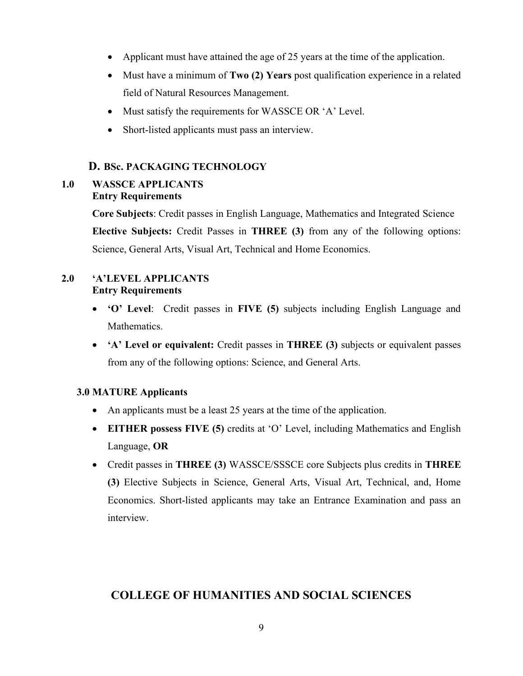- Applicant must have attained the age of 25 years at the time of the application.
- Must have a minimum of **Two (2) Years** post qualification experience in a related field of Natural Resources Management.
- Must satisfy the requirements for WASSCE OR 'A' Level.
- Short-listed applicants must pass an interview.

### D. BSc. PACKAGING TECHNOLOGY

## 1.0 WASSCE APPLICANTS Entry Requirements

Core Subjects: Credit passes in English Language, Mathematics and Integrated Science Elective Subjects: Credit Passes in THREE (3) from any of the following options: Science, General Arts, Visual Art, Technical and Home Economics.

## 2.0 'A'LEVEL APPLICANTS Entry Requirements

- 'O' Level: Credit passes in FIVE (5) subjects including English Language and Mathematics.
- 'A' Level or equivalent: Credit passes in THREE (3) subjects or equivalent passes from any of the following options: Science, and General Arts.

### 3.0 MATURE Applicants

- An applicants must be a least 25 years at the time of the application.
- EITHER possess FIVE (5) credits at 'O' Level, including Mathematics and English Language, OR
- Credit passes in THREE (3) WASSCE/SSSCE core Subjects plus credits in THREE (3) Elective Subjects in Science, General Arts, Visual Art, Technical, and, Home Economics. Short-listed applicants may take an Entrance Examination and pass an interview.

## COLLEGE OF HUMANITIES AND SOCIAL SCIENCES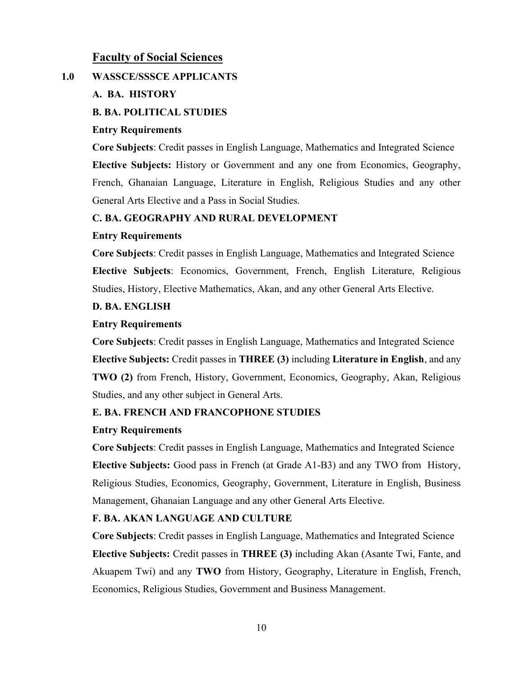## Faculty of Social Sciences

## 1.0 WASSCE/SSSCE APPLICANTS

### A. BA. HISTORY

### B. BA. POLITICAL STUDIES

### Entry Requirements

Core Subjects: Credit passes in English Language, Mathematics and Integrated Science Elective Subjects: History or Government and any one from Economics, Geography, French, Ghanaian Language, Literature in English, Religious Studies and any other General Arts Elective and a Pass in Social Studies.

### C. BA. GEOGRAPHY AND RURAL DEVELOPMENT

### Entry Requirements

Core Subjects: Credit passes in English Language, Mathematics and Integrated Science Elective Subjects: Economics, Government, French, English Literature, Religious Studies, History, Elective Mathematics, Akan, and any other General Arts Elective.

### D. BA. ENGLISH

#### Entry Requirements

Core Subjects: Credit passes in English Language, Mathematics and Integrated Science Elective Subjects: Credit passes in THREE (3) including Literature in English, and any TWO (2) from French, History, Government, Economics, Geography, Akan, Religious Studies, and any other subject in General Arts.

### E. BA. FRENCH AND FRANCOPHONE STUDIES

### Entry Requirements

Core Subjects: Credit passes in English Language, Mathematics and Integrated Science Elective Subjects: Good pass in French (at Grade A1-B3) and any TWO from History, Religious Studies, Economics, Geography, Government, Literature in English, Business Management, Ghanaian Language and any other General Arts Elective.

### F. BA. AKAN LANGUAGE AND CULTURE

Core Subjects: Credit passes in English Language, Mathematics and Integrated Science Elective Subjects: Credit passes in THREE (3) including Akan (Asante Twi, Fante, and Akuapem Twi) and any TWO from History, Geography, Literature in English, French, Economics, Religious Studies, Government and Business Management.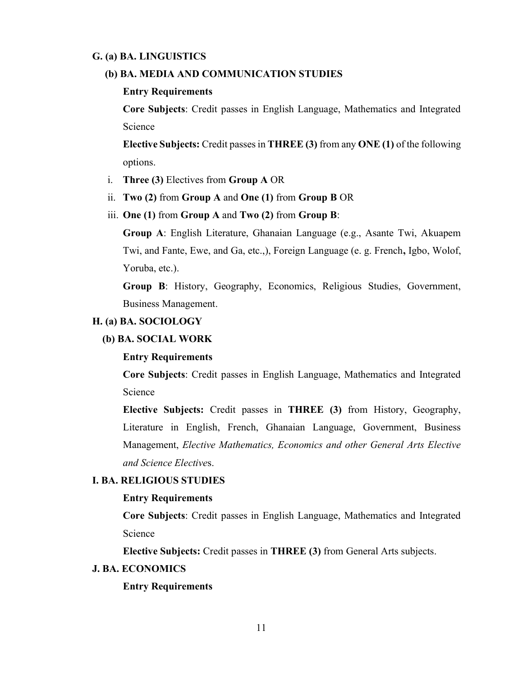#### G. (a) BA. LINGUISTICS

#### (b) BA. MEDIA AND COMMUNICATION STUDIES

#### Entry Requirements

Core Subjects: Credit passes in English Language, Mathematics and Integrated Science

Elective Subjects: Credit passes in THREE (3) from any ONE (1) of the following options.

- i. Three (3) Electives from Group A OR
- ii. Two (2) from Group A and One (1) from Group B OR
- iii. One (1) from Group A and Two (2) from Group B:

Group A: English Literature, Ghanaian Language (e.g., Asante Twi, Akuapem Twi, and Fante, Ewe, and Ga, etc.,), Foreign Language (e. g. French, Igbo, Wolof, Yoruba, etc.).

Group B: History, Geography, Economics, Religious Studies, Government, Business Management.

#### H. (a) BA. SOCIOLOGY

#### (b) BA. SOCIAL WORK

#### Entry Requirements

Core Subjects: Credit passes in English Language, Mathematics and Integrated Science

Elective Subjects: Credit passes in THREE (3) from History, Geography, Literature in English, French, Ghanaian Language, Government, Business Management, Elective Mathematics, Economics and other General Arts Elective and Science Electives.

#### I. BA. RELIGIOUS STUDIES

#### Entry Requirements

Core Subjects: Credit passes in English Language, Mathematics and Integrated Science

Elective Subjects: Credit passes in THREE (3) from General Arts subjects.

### J. BA. ECONOMICS

#### Entry Requirements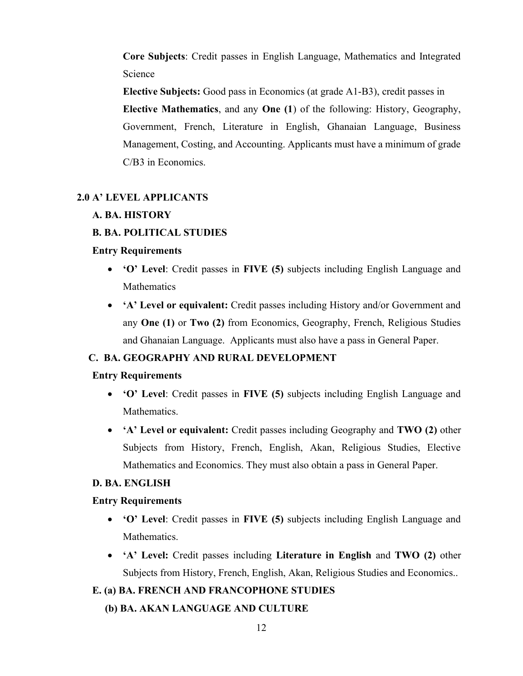Core Subjects: Credit passes in English Language, Mathematics and Integrated Science

Elective Subjects: Good pass in Economics (at grade A1-B3), credit passes in

Elective Mathematics, and any One (1) of the following: History, Geography, Government, French, Literature in English, Ghanaian Language, Business Management, Costing, and Accounting. Applicants must have a minimum of grade C/B3 in Economics.

### 2.0 A' LEVEL APPLICANTS

### A. BA. HISTORY

#### B. BA. POLITICAL STUDIES

#### Entry Requirements

- 'O' Level: Credit passes in FIVE (5) subjects including English Language and **Mathematics**
- 'A' Level or equivalent: Credit passes including History and/or Government and any One (1) or Two (2) from Economics, Geography, French, Religious Studies and Ghanaian Language. Applicants must also have a pass in General Paper.

### C. BA. GEOGRAPHY AND RURAL DEVELOPMENT

#### Entry Requirements

- 'O' Level: Credit passes in FIVE (5) subjects including English Language and Mathematics.
- 'A' Level or equivalent: Credit passes including Geography and TWO (2) other Subjects from History, French, English, Akan, Religious Studies, Elective Mathematics and Economics. They must also obtain a pass in General Paper.

#### D. BA. ENGLISH

#### Entry Requirements

- 'O' Level: Credit passes in FIVE (5) subjects including English Language and Mathematics.
- 'A' Level: Credit passes including Literature in English and TWO (2) other Subjects from History, French, English, Akan, Religious Studies and Economics..

#### E. (a) BA. FRENCH AND FRANCOPHONE STUDIES

(b) BA. AKAN LANGUAGE AND CULTURE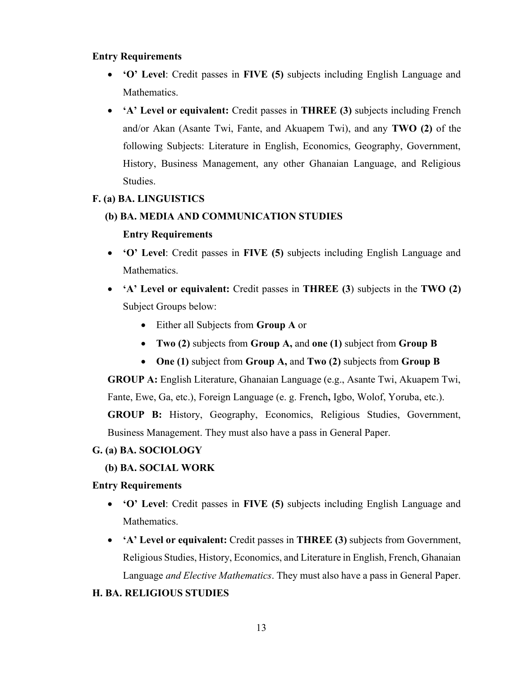### Entry Requirements

- 'O' Level: Credit passes in FIVE (5) subjects including English Language and Mathematics.
- 'A' Level or equivalent: Credit passes in THREE (3) subjects including French and/or Akan (Asante Twi, Fante, and Akuapem Twi), and any TWO (2) of the following Subjects: Literature in English, Economics, Geography, Government, History, Business Management, any other Ghanaian Language, and Religious Studies.

#### F. (a) BA. LINGUISTICS

### (b) BA. MEDIA AND COMMUNICATION STUDIES

#### Entry Requirements

- 'O' Level: Credit passes in FIVE (5) subjects including English Language and Mathematics.
- 'A' Level or equivalent: Credit passes in THREE (3) subjects in the TWO (2) Subject Groups below:
	- Either all Subjects from **Group A** or
	- Two (2) subjects from Group A, and one (1) subject from Group B
	- One (1) subject from Group A, and Two (2) subjects from Group B

GROUP A: English Literature, Ghanaian Language (e.g., Asante Twi, Akuapem Twi, Fante, Ewe, Ga, etc.), Foreign Language (e. g. French, Igbo, Wolof, Yoruba, etc.). GROUP B: History, Geography, Economics, Religious Studies, Government, Business Management. They must also have a pass in General Paper.

#### G. (a) BA. SOCIOLOGY

#### (b) BA. SOCIAL WORK

### Entry Requirements

- 'O' Level: Credit passes in FIVE (5) subjects including English Language and Mathematics.
- 'A' Level or equivalent: Credit passes in THREE (3) subjects from Government, Religious Studies, History, Economics, and Literature in English, French, Ghanaian Language *and Elective Mathematics*. They must also have a pass in General Paper.

#### H. BA. RELIGIOUS STUDIES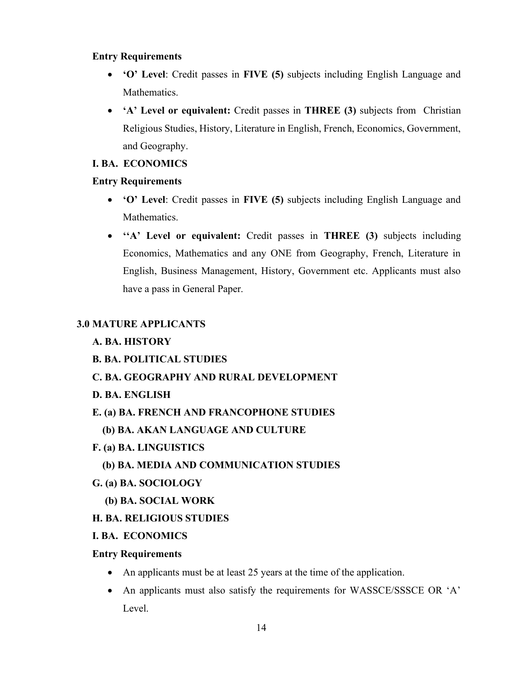### Entry Requirements

- 'O' Level: Credit passes in FIVE (5) subjects including English Language and Mathematics.
- 'A' Level or equivalent: Credit passes in THREE (3) subjects from Christian Religious Studies, History, Literature in English, French, Economics, Government, and Geography.

## I. BA. ECONOMICS

### Entry Requirements

- 'O' Level: Credit passes in FIVE (5) subjects including English Language and Mathematics.
- "A' Level or equivalent: Credit passes in THREE (3) subjects including Economics, Mathematics and any ONE from Geography, French, Literature in English, Business Management, History, Government etc. Applicants must also have a pass in General Paper.

## 3.0 MATURE APPLICANTS

## A. BA. HISTORY

B. BA. POLITICAL STUDIES

## C. BA. GEOGRAPHY AND RURAL DEVELOPMENT

- D. BA. ENGLISH
- E. (a) BA. FRENCH AND FRANCOPHONE STUDIES
	- (b) BA. AKAN LANGUAGE AND CULTURE
- F. (a) BA. LINGUISTICS
	- (b) BA. MEDIA AND COMMUNICATION STUDIES
- G. (a) BA. SOCIOLOGY
	- (b) BA. SOCIAL WORK

## H. BA. RELIGIOUS STUDIES

## I. BA. ECONOMICS

## Entry Requirements

- An applicants must be at least 25 years at the time of the application.
- An applicants must also satisfy the requirements for WASSCE/SSSCE OR 'A' Level.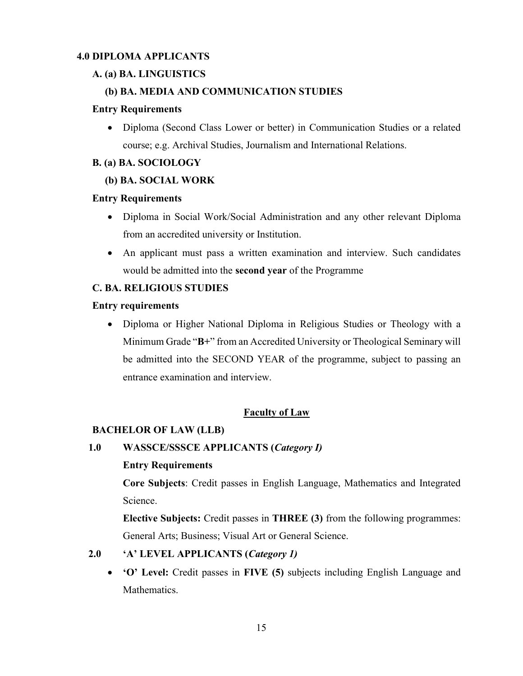## 4.0 DIPLOMA APPLICANTS

## A. (a) BA. LINGUISTICS

## (b) BA. MEDIA AND COMMUNICATION STUDIES

#### Entry Requirements

 Diploma (Second Class Lower or better) in Communication Studies or a related course; e.g. Archival Studies, Journalism and International Relations.

### B. (a) BA. SOCIOLOGY

### (b) BA. SOCIAL WORK

### Entry Requirements

- Diploma in Social Work/Social Administration and any other relevant Diploma from an accredited university or Institution.
- An applicant must pass a written examination and interview. Such candidates would be admitted into the second year of the Programme

### C. BA. RELIGIOUS STUDIES

#### Entry requirements

 Diploma or Higher National Diploma in Religious Studies or Theology with a Minimum Grade "B+" from an Accredited University or Theological Seminary will be admitted into the SECOND YEAR of the programme, subject to passing an entrance examination and interview.

## Faculty of Law

### BACHELOR OF LAW (LLB)

## 1.0 WASSCE/SSSCE APPLICANTS (Category I)

### Entry Requirements

Core Subjects: Credit passes in English Language, Mathematics and Integrated Science.

Elective Subjects: Credit passes in THREE (3) from the following programmes: General Arts; Business; Visual Art or General Science.

## 2.0 'A' LEVEL APPLICANTS (Category 1)

 'O' Level: Credit passes in FIVE (5) subjects including English Language and Mathematics.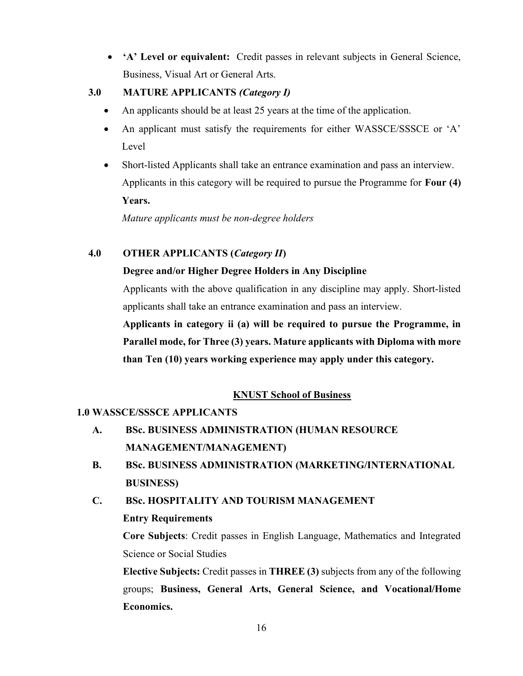'A' Level or equivalent: Credit passes in relevant subjects in General Science, Business, Visual Art or General Arts.

## 3.0 MATURE APPLICANTS (Category I)

- An applicants should be at least 25 years at the time of the application.
- An applicant must satisfy the requirements for either WASSCE/SSSCE or 'A' Level
- Short-listed Applicants shall take an entrance examination and pass an interview. Applicants in this category will be required to pursue the Programme for Four (4) Years.

Mature applicants must be non-degree holders

## 4.0 OTHER APPLICANTS (Category II)

## Degree and/or Higher Degree Holders in Any Discipline

Applicants with the above qualification in any discipline may apply. Short-listed applicants shall take an entrance examination and pass an interview.

Applicants in category ii (a) will be required to pursue the Programme, in Parallel mode, for Three (3) years. Mature applicants with Diploma with more than Ten (10) years working experience may apply under this category.

## KNUST School of Business

## 1.0 WASSCE/SSSCE APPLICANTS

- A. BSc. BUSINESS ADMINISTRATION (HUMAN RESOURCE MANAGEMENT/MANAGEMENT)
- B. BSc. BUSINESS ADMINISTRATION (MARKETING/INTERNATIONAL BUSINESS)
- C. BSc. HOSPITALITY AND TOURISM MANAGEMENT

## Entry Requirements

Core Subjects: Credit passes in English Language, Mathematics and Integrated Science or Social Studies

Elective Subjects: Credit passes in THREE (3) subjects from any of the following groups; Business, General Arts, General Science, and Vocational/Home Economics.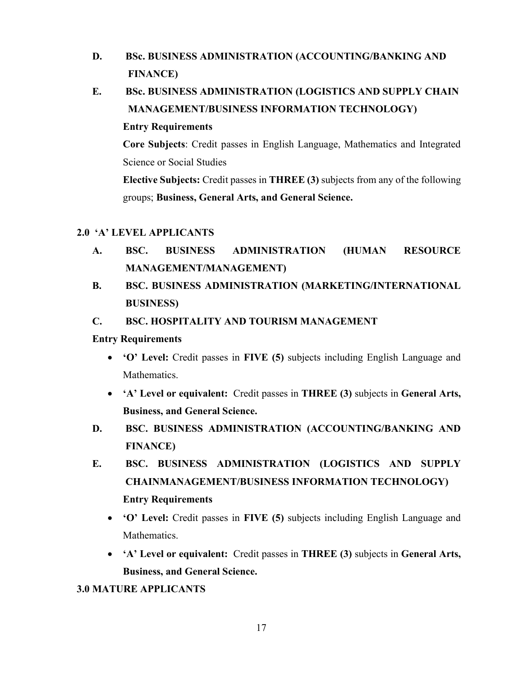- D. BSc. BUSINESS ADMINISTRATION (ACCOUNTING/BANKING AND FINANCE)
- E. BSc. BUSINESS ADMINISTRATION (LOGISTICS AND SUPPLY CHAIN MANAGEMENT/BUSINESS INFORMATION TECHNOLOGY) Entry Requirements

Core Subjects: Credit passes in English Language, Mathematics and Integrated Science or Social Studies

Elective Subjects: Credit passes in THREE (3) subjects from any of the following groups; Business, General Arts, and General Science.

## 2.0 'A' LEVEL APPLICANTS

- A. BSC. BUSINESS ADMINISTRATION (HUMAN RESOURCE MANAGEMENT/MANAGEMENT)
- B. BSC. BUSINESS ADMINISTRATION (MARKETING/INTERNATIONAL BUSINESS)

## C. BSC. HOSPITALITY AND TOURISM MANAGEMENT

## Entry Requirements

- 'O' Level: Credit passes in FIVE (5) subjects including English Language and Mathematics.
- 'A' Level or equivalent: Credit passes in THREE (3) subjects in General Arts, Business, and General Science.
- D. BSC. BUSINESS ADMINISTRATION (ACCOUNTING/BANKING AND FINANCE)
- E. BSC. BUSINESS ADMINISTRATION (LOGISTICS AND SUPPLY CHAINMANAGEMENT/BUSINESS INFORMATION TECHNOLOGY) Entry Requirements
	- 'O' Level: Credit passes in FIVE (5) subjects including English Language and Mathematics.
	- 'A' Level or equivalent: Credit passes in THREE (3) subjects in General Arts, Business, and General Science.

## 3.0 MATURE APPLICANTS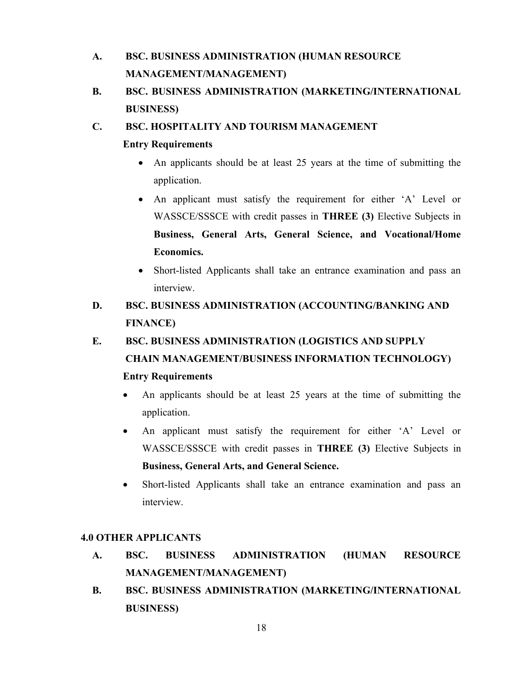# A. BSC. BUSINESS ADMINISTRATION (HUMAN RESOURCE MANAGEMENT/MANAGEMENT)

B. BSC. BUSINESS ADMINISTRATION (MARKETING/INTERNATIONAL BUSINESS)

## C. BSC. HOSPITALITY AND TOURISM MANAGEMENT

## Entry Requirements

- An applicants should be at least 25 years at the time of submitting the application.
- An applicant must satisfy the requirement for either 'A' Level or WASSCE/SSSCE with credit passes in THREE (3) Elective Subjects in Business, General Arts, General Science, and Vocational/Home Economics.
- Short-listed Applicants shall take an entrance examination and pass an interview.

# D. BSC. BUSINESS ADMINISTRATION (ACCOUNTING/BANKING AND FINANCE)

# E. BSC. BUSINESS ADMINISTRATION (LOGISTICS AND SUPPLY CHAIN MANAGEMENT/BUSINESS INFORMATION TECHNOLOGY) Entry Requirements

- An applicants should be at least 25 years at the time of submitting the application.
- An applicant must satisfy the requirement for either 'A' Level or WASSCE/SSSCE with credit passes in THREE (3) Elective Subjects in Business, General Arts, and General Science.
- Short-listed Applicants shall take an entrance examination and pass an interview.

## 4.0 OTHER APPLICANTS

- A. BSC. BUSINESS ADMINISTRATION (HUMAN RESOURCE MANAGEMENT/MANAGEMENT)
- B. BSC. BUSINESS ADMINISTRATION (MARKETING/INTERNATIONAL BUSINESS)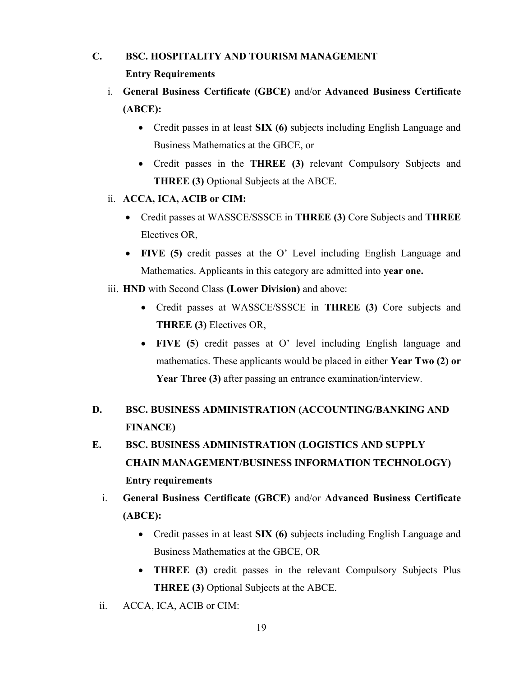# C. BSC. HOSPITALITY AND TOURISM MANAGEMENT Entry Requirements

- i. General Business Certificate (GBCE) and/or Advanced Business Certificate (ABCE):
	- Credit passes in at least **SIX (6)** subjects including English Language and Business Mathematics at the GBCE, or
	- Credit passes in the **THREE** (3) relevant Compulsory Subjects and THREE (3) Optional Subjects at the ABCE.
- ii. ACCA, ICA, ACIB or CIM:
	- Credit passes at WASSCE/SSSCE in THREE (3) Core Subjects and THREE Electives OR,
	- FIVE (5) credit passes at the O' Level including English Language and Mathematics. Applicants in this category are admitted into year one.
- iii. HND with Second Class (Lower Division) and above:
	- Credit passes at WASSCE/SSSCE in THREE (3) Core subjects and THREE (3) Electives OR,
	- FIVE (5) credit passes at O' level including English language and mathematics. These applicants would be placed in either Year Two (2) or Year Three (3) after passing an entrance examination/interview.
- D. BSC. BUSINESS ADMINISTRATION (ACCOUNTING/BANKING AND FINANCE)
- E. BSC. BUSINESS ADMINISTRATION (LOGISTICS AND SUPPLY CHAIN MANAGEMENT/BUSINESS INFORMATION TECHNOLOGY) Entry requirements
	- i. General Business Certificate (GBCE) and/or Advanced Business Certificate (ABCE):
		- Credit passes in at least SIX (6) subjects including English Language and Business Mathematics at the GBCE, OR
		- THREE (3) credit passes in the relevant Compulsory Subjects Plus THREE (3) Optional Subjects at the ABCE.
	- ii. ACCA, ICA, ACIB or CIM: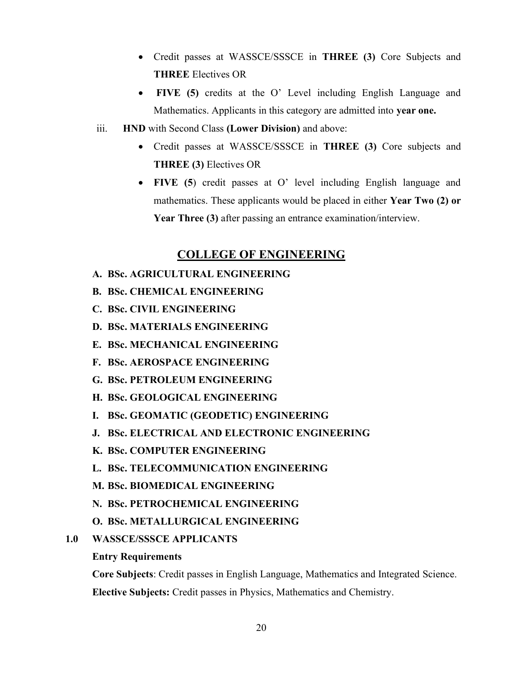- Credit passes at WASSCE/SSSCE in THREE (3) Core Subjects and THREE Electives OR
- FIVE (5) credits at the O' Level including English Language and Mathematics. Applicants in this category are admitted into year one.
- iii. HND with Second Class (Lower Division) and above:
	- Credit passes at WASSCE/SSSCE in THREE (3) Core subjects and THREE (3) Electives OR
	- FIVE (5) credit passes at O' level including English language and mathematics. These applicants would be placed in either Year Two (2) or Year Three (3) after passing an entrance examination/interview.

## COLLEGE OF ENGINEERING

- A. BSc. AGRICULTURAL ENGINEERING
- B. BSc. CHEMICAL ENGINEERING
- C. BSc. CIVIL ENGINEERING
- D. BSc. MATERIALS ENGINEERING
- E. BSc. MECHANICAL ENGINEERING
- F. BSc. AEROSPACE ENGINEERING
- G. BSc. PETROLEUM ENGINEERING
- H. BSc. GEOLOGICAL ENGINEERING
- I. BSc. GEOMATIC (GEODETIC) ENGINEERING
- J. BSc. ELECTRICAL AND ELECTRONIC ENGINEERING
- K. BSc. COMPUTER ENGINEERING
- L. BSc. TELECOMMUNICATION ENGINEERING
- M. BSc. BIOMEDICAL ENGINEERING
- N. BSc. PETROCHEMICAL ENGINEERING
- O. BSc. METALLURGICAL ENGINEERING
- 1.0 WASSCE/SSSCE APPLICANTS

### Entry Requirements

Core Subjects: Credit passes in English Language, Mathematics and Integrated Science. Elective Subjects: Credit passes in Physics, Mathematics and Chemistry.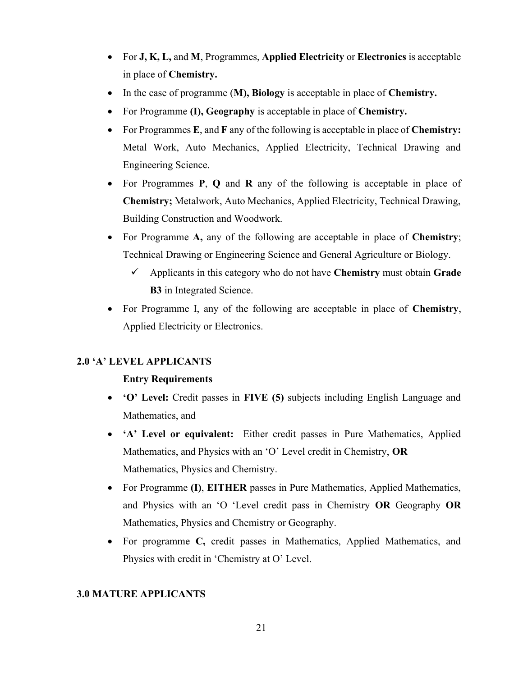- For  $J, K, L$ , and M, Programmes, Applied Electricity or Electronics is acceptable in place of Chemistry.
- In the case of programme (M), Biology is acceptable in place of Chemistry.
- For Programme (I), Geography is acceptable in place of Chemistry.
- For Programmes  $E$ , and  $F$  any of the following is acceptable in place of **Chemistry:** Metal Work, Auto Mechanics, Applied Electricity, Technical Drawing and Engineering Science.
- For Programmes P, Q and R any of the following is acceptable in place of Chemistry; Metalwork, Auto Mechanics, Applied Electricity, Technical Drawing, Building Construction and Woodwork.
- For Programme A, any of the following are acceptable in place of Chemistry; Technical Drawing or Engineering Science and General Agriculture or Biology.
	- $\checkmark$  Applicants in this category who do not have Chemistry must obtain Grade B3 in Integrated Science.
- For Programme I, any of the following are acceptable in place of Chemistry, Applied Electricity or Electronics.

### 2.0 'A' LEVEL APPLICANTS

### Entry Requirements

- 'O' Level: Credit passes in FIVE (5) subjects including English Language and Mathematics, and
- 'A' Level or equivalent: Either credit passes in Pure Mathematics, Applied Mathematics, and Physics with an 'O' Level credit in Chemistry, OR Mathematics, Physics and Chemistry.
- For Programme (I), EITHER passes in Pure Mathematics, Applied Mathematics, and Physics with an 'O 'Level credit pass in Chemistry OR Geography OR Mathematics, Physics and Chemistry or Geography.
- For programme C, credit passes in Mathematics, Applied Mathematics, and Physics with credit in 'Chemistry at O' Level.

### 3.0 MATURE APPLICANTS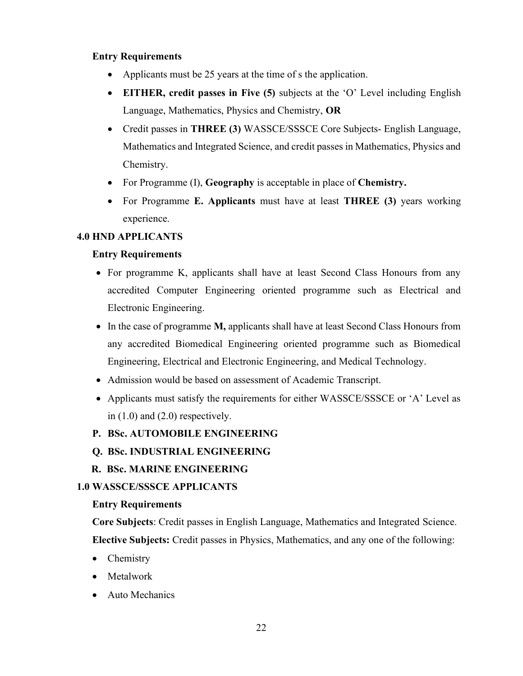## Entry Requirements

- Applicants must be 25 years at the time of s the application.
- EITHER, credit passes in Five (5) subjects at the 'O' Level including English Language, Mathematics, Physics and Chemistry, OR
- Credit passes in **THREE (3)** WASSCE/SSSCE Core Subjects- English Language, Mathematics and Integrated Science, and credit passes in Mathematics, Physics and Chemistry.
- For Programme (I), Geography is acceptable in place of Chemistry.
- For Programme E. Applicants must have at least THREE (3) years working experience.

## 4.0 HND APPLICANTS

## Entry Requirements

- For programme K, applicants shall have at least Second Class Honours from any accredited Computer Engineering oriented programme such as Electrical and Electronic Engineering.
- In the case of programme M, applicants shall have at least Second Class Honours from any accredited Biomedical Engineering oriented programme such as Biomedical Engineering, Electrical and Electronic Engineering, and Medical Technology.
- Admission would be based on assessment of Academic Transcript.
- Applicants must satisfy the requirements for either WASSCE/SSSCE or 'A' Level as in (1.0) and (2.0) respectively.

## P. BSc. AUTOMOBILE ENGINEERING

## Q. BSc. INDUSTRIAL ENGINEERING

## R. BSc. MARINE ENGINEERING

## 1.0 WASSCE/SSSCE APPLICANTS

## Entry Requirements

Core Subjects: Credit passes in English Language, Mathematics and Integrated Science. Elective Subjects: Credit passes in Physics, Mathematics, and any one of the following:

- Chemistry
- Metalwork
- Auto Mechanics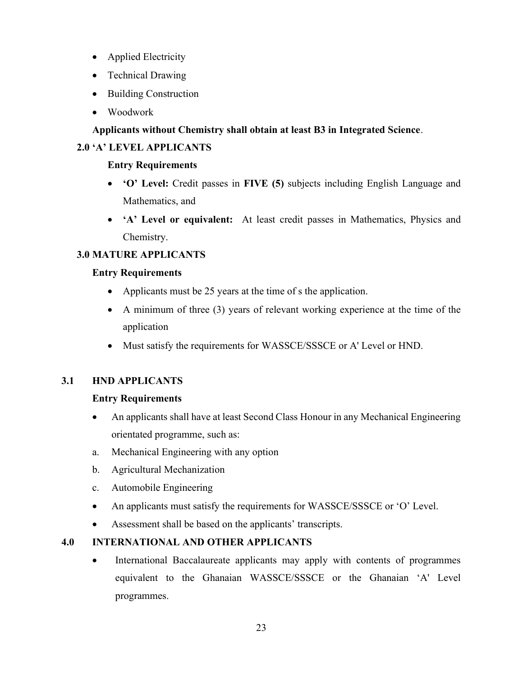- Applied Electricity
- Technical Drawing
- Building Construction
- Woodwork

## Applicants without Chemistry shall obtain at least B3 in Integrated Science.

## 2.0 'A' LEVEL APPLICANTS

## Entry Requirements

- 'O' Level: Credit passes in FIVE (5) subjects including English Language and Mathematics, and
- 'A' Level or equivalent: At least credit passes in Mathematics, Physics and Chemistry.

## 3.0 MATURE APPLICANTS

## Entry Requirements

- Applicants must be 25 years at the time of s the application.
- A minimum of three (3) years of relevant working experience at the time of the application
- Must satisfy the requirements for WASSCE/SSSCE or A' Level or HND.

## 3.1 HND APPLICANTS

## Entry Requirements

- An applicants shall have at least Second Class Honour in any Mechanical Engineering orientated programme, such as:
- a. Mechanical Engineering with any option
- b. Agricultural Mechanization
- c. Automobile Engineering
- An applicants must satisfy the requirements for WASSCE/SSSCE or 'O' Level.
- Assessment shall be based on the applicants' transcripts.

## 4.0 INTERNATIONAL AND OTHER APPLICANTS

 International Baccalaureate applicants may apply with contents of programmes equivalent to the Ghanaian WASSCE/SSSCE or the Ghanaian 'A' Level programmes.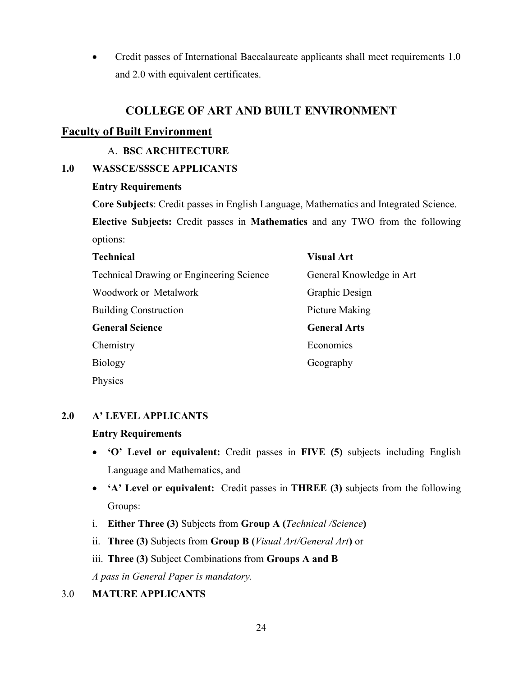Credit passes of International Baccalaureate applicants shall meet requirements 1.0 and 2.0 with equivalent certificates.

## COLLEGE OF ART AND BUILT ENVIRONMENT

## Faculty of Built Environment

## A. BSC ARCHITECTURE

## 1.0 WASSCE/SSSCE APPLICANTS

### Entry Requirements

Core Subjects: Credit passes in English Language, Mathematics and Integrated Science. Elective Subjects: Credit passes in Mathematics and any TWO from the following options:

| <b>Technical</b>                                | <b>Visual Art</b>        |
|-------------------------------------------------|--------------------------|
| <b>Technical Drawing or Engineering Science</b> | General Knowledge in Art |
| Woodwork or Metalwork                           | Graphic Design           |
| <b>Building Construction</b>                    | Picture Making           |
| <b>General Science</b>                          | <b>General Arts</b>      |
| Chemistry                                       | Economics                |
| <b>Biology</b>                                  | Geography                |
| Physics                                         |                          |

## 2.0 A' LEVEL APPLICANTS

### Entry Requirements

- 'O' Level or equivalent: Credit passes in FIVE (5) subjects including English Language and Mathematics, and
- 'A' Level or equivalent: Credit passes in THREE (3) subjects from the following Groups:
- i. Either Three (3) Subjects from Group A (*Technical /Science*)
- ii. Three (3) Subjects from Group B (Visual Art/General Art) or
- iii. Three (3) Subject Combinations from Groups A and B

A pass in General Paper is mandatory.

## 3.0 MATURE APPLICANTS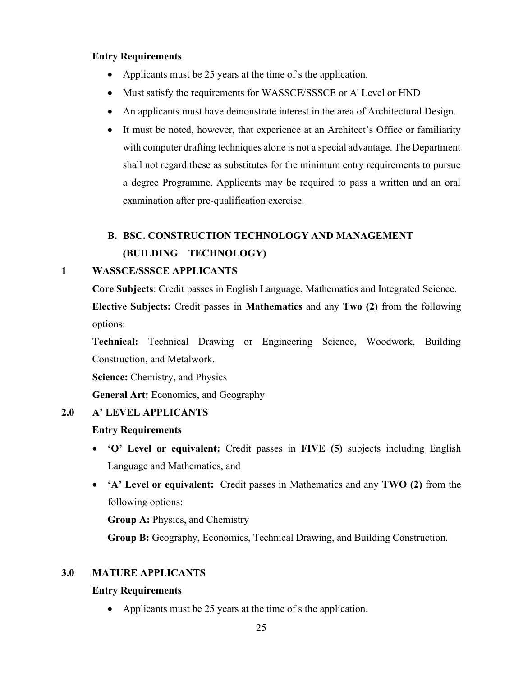## Entry Requirements

- Applicants must be 25 years at the time of s the application.
- Must satisfy the requirements for WASSCE/SSSCE or A' Level or HND
- An applicants must have demonstrate interest in the area of Architectural Design.
- It must be noted, however, that experience at an Architect's Office or familiarity with computer drafting techniques alone is not a special advantage. The Department shall not regard these as substitutes for the minimum entry requirements to pursue a degree Programme. Applicants may be required to pass a written and an oral examination after pre-qualification exercise.

# B. BSC. CONSTRUCTION TECHNOLOGY AND MANAGEMENT (BUILDING TECHNOLOGY)

### 1 WASSCE/SSSCE APPLICANTS

Core Subjects: Credit passes in English Language, Mathematics and Integrated Science. Elective Subjects: Credit passes in Mathematics and any Two (2) from the following

options:

Technical: Technical Drawing or Engineering Science, Woodwork, Building Construction, and Metalwork.

Science: Chemistry, and Physics

General Art: Economics, and Geography

## 2.0 A' LEVEL APPLICANTS

### Entry Requirements

- 'O' Level or equivalent: Credit passes in FIVE (5) subjects including English Language and Mathematics, and
- 'A' Level or equivalent: Credit passes in Mathematics and any TWO (2) from the following options:

Group A: Physics, and Chemistry

Group B: Geography, Economics, Technical Drawing, and Building Construction.

## 3.0 MATURE APPLICANTS

### Entry Requirements

• Applicants must be 25 years at the time of s the application.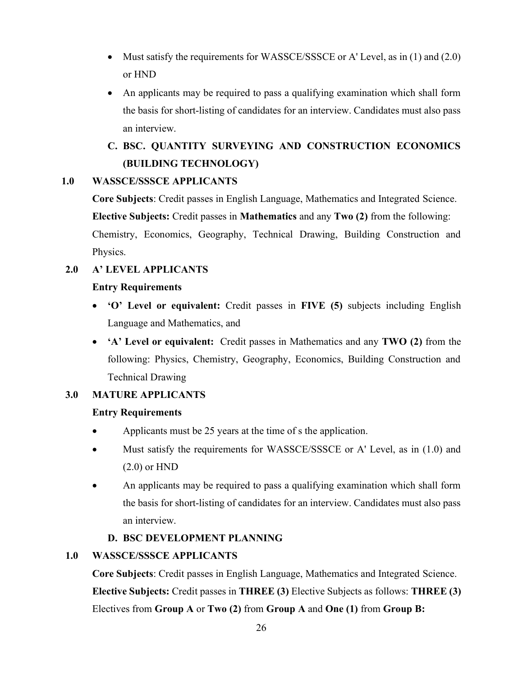- $\bullet$  Must satisfy the requirements for WASSCE/SSSCE or A' Level, as in (1) and (2.0) or HND
- An applicants may be required to pass a qualifying examination which shall form the basis for short-listing of candidates for an interview. Candidates must also pass an interview.

# C. BSC. QUANTITY SURVEYING AND CONSTRUCTION ECONOMICS (BUILDING TECHNOLOGY)

## 1.0 WASSCE/SSSCE APPLICANTS

Core Subjects: Credit passes in English Language, Mathematics and Integrated Science. Elective Subjects: Credit passes in Mathematics and any Two (2) from the following: Chemistry, Economics, Geography, Technical Drawing, Building Construction and Physics.

## 2.0 A' LEVEL APPLICANTS

### Entry Requirements

- 'O' Level or equivalent: Credit passes in FIVE (5) subjects including English Language and Mathematics, and
- 'A' Level or equivalent: Credit passes in Mathematics and any TWO (2) from the following: Physics, Chemistry, Geography, Economics, Building Construction and Technical Drawing

## 3.0 MATURE APPLICANTS

## Entry Requirements

- Applicants must be 25 years at the time of s the application.
- Must satisfy the requirements for WASSCE/SSSCE or A' Level, as in (1.0) and (2.0) or HND
- An applicants may be required to pass a qualifying examination which shall form the basis for short-listing of candidates for an interview. Candidates must also pass an interview.

## D. BSC DEVELOPMENT PLANNING

## 1.0 WASSCE/SSSCE APPLICANTS

Core Subjects: Credit passes in English Language, Mathematics and Integrated Science. Elective Subjects: Credit passes in THREE (3) Elective Subjects as follows: THREE (3) Electives from Group A or Two (2) from Group A and One (1) from Group B: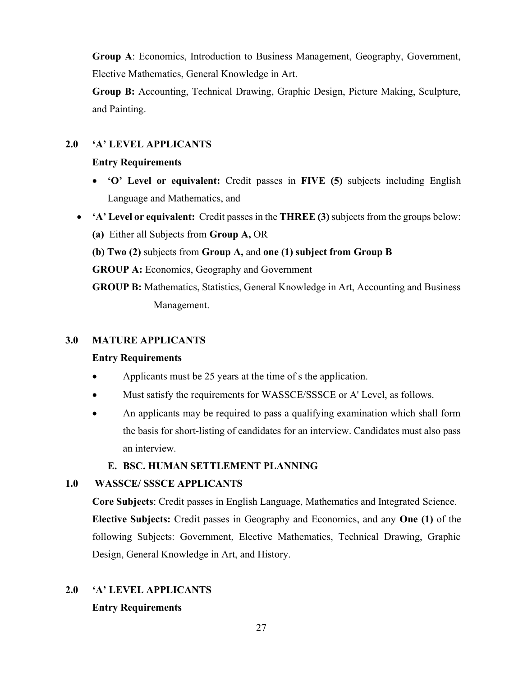Group A: Economics, Introduction to Business Management, Geography, Government, Elective Mathematics, General Knowledge in Art.

Group B: Accounting, Technical Drawing, Graphic Design, Picture Making, Sculpture, and Painting.

### 2.0 'A' LEVEL APPLICANTS

#### Entry Requirements

- 'O' Level or equivalent: Credit passes in FIVE (5) subjects including English Language and Mathematics, and
- 'A' Level or equivalent: Credit passes in the THREE (3) subjects from the groups below:
	- (a) Either all Subjects from Group A, OR
	- (b) Two (2) subjects from Group A, and one (1) subject from Group B

GROUP A: Economics, Geography and Government

GROUP B: Mathematics, Statistics, General Knowledge in Art, Accounting and Business Management.

#### 3.0 MATURE APPLICANTS

#### Entry Requirements

- Applicants must be 25 years at the time of s the application.
- Must satisfy the requirements for WASSCE/SSSCE or A' Level, as follows.
- An applicants may be required to pass a qualifying examination which shall form the basis for short-listing of candidates for an interview. Candidates must also pass an interview.

#### E. BSC. HUMAN SETTLEMENT PLANNING

### 1.0 WASSCE/ SSSCE APPLICANTS

Core Subjects: Credit passes in English Language, Mathematics and Integrated Science. Elective Subjects: Credit passes in Geography and Economics, and any One (1) of the following Subjects: Government, Elective Mathematics, Technical Drawing, Graphic Design, General Knowledge in Art, and History.

## 2.0 'A' LEVEL APPLICANTS Entry Requirements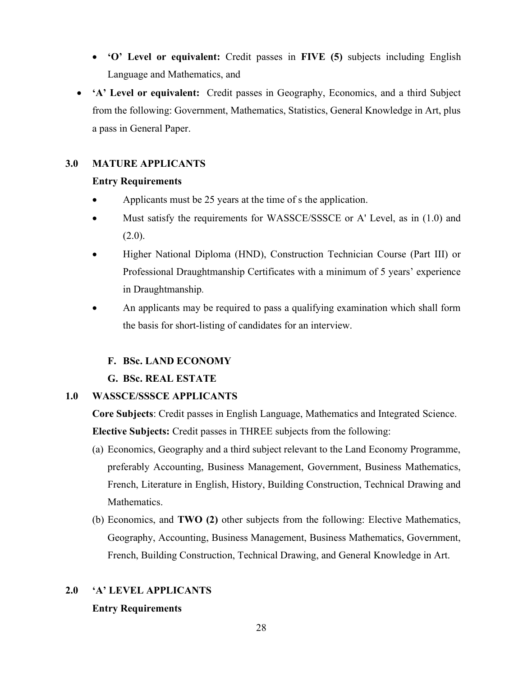- 'O' Level or equivalent: Credit passes in FIVE (5) subjects including English Language and Mathematics, and
- 'A' Level or equivalent: Credit passes in Geography, Economics, and a third Subject from the following: Government, Mathematics, Statistics, General Knowledge in Art, plus a pass in General Paper.

## 3.0 MATURE APPLICANTS

## Entry Requirements

- Applicants must be 25 years at the time of s the application.
- Must satisfy the requirements for WASSCE/SSSCE or A' Level, as in (1.0) and  $(2.0).$
- Higher National Diploma (HND), Construction Technician Course (Part III) or Professional Draughtmanship Certificates with a minimum of 5 years' experience in Draughtmanship.
- An applicants may be required to pass a qualifying examination which shall form the basis for short-listing of candidates for an interview.

## F. BSc. LAND ECONOMY

G. BSc. REAL ESTATE

## 1.0 WASSCE/SSSCE APPLICANTS

Core Subjects: Credit passes in English Language, Mathematics and Integrated Science. Elective Subjects: Credit passes in THREE subjects from the following:

- (a) Economics, Geography and a third subject relevant to the Land Economy Programme, preferably Accounting, Business Management, Government, Business Mathematics, French, Literature in English, History, Building Construction, Technical Drawing and Mathematics.
- (b) Economics, and TWO (2) other subjects from the following: Elective Mathematics, Geography, Accounting, Business Management, Business Mathematics, Government, French, Building Construction, Technical Drawing, and General Knowledge in Art.

## 2.0 'A' LEVEL APPLICANTS Entry Requirements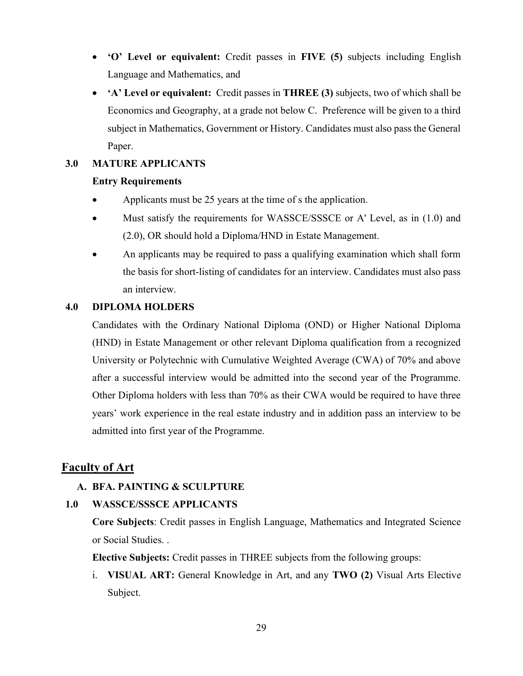- 'O' Level or equivalent: Credit passes in FIVE (5) subjects including English Language and Mathematics, and
- 'A' Level or equivalent: Credit passes in THREE (3) subjects, two of which shall be Economics and Geography, at a grade not below C. Preference will be given to a third subject in Mathematics, Government or History. Candidates must also pass the General Paper.

## 3.0 MATURE APPLICANTS

### Entry Requirements

- Applicants must be 25 years at the time of s the application.
- Must satisfy the requirements for WASSCE/SSSCE or A' Level, as in (1.0) and (2.0), OR should hold a Diploma/HND in Estate Management.
- An applicants may be required to pass a qualifying examination which shall form the basis for short-listing of candidates for an interview. Candidates must also pass an interview.

#### 4.0 DIPLOMA HOLDERS

Candidates with the Ordinary National Diploma (OND) or Higher National Diploma (HND) in Estate Management or other relevant Diploma qualification from a recognized University or Polytechnic with Cumulative Weighted Average (CWA) of 70% and above after a successful interview would be admitted into the second year of the Programme. Other Diploma holders with less than 70% as their CWA would be required to have three years' work experience in the real estate industry and in addition pass an interview to be admitted into first year of the Programme.

## Faculty of Art

#### A. BFA. PAINTING & SCULPTURE

### 1.0 WASSCE/SSSCE APPLICANTS

Core Subjects: Credit passes in English Language, Mathematics and Integrated Science or Social Studies. .

Elective Subjects: Credit passes in THREE subjects from the following groups:

i. VISUAL ART: General Knowledge in Art, and any TWO (2) Visual Arts Elective Subject.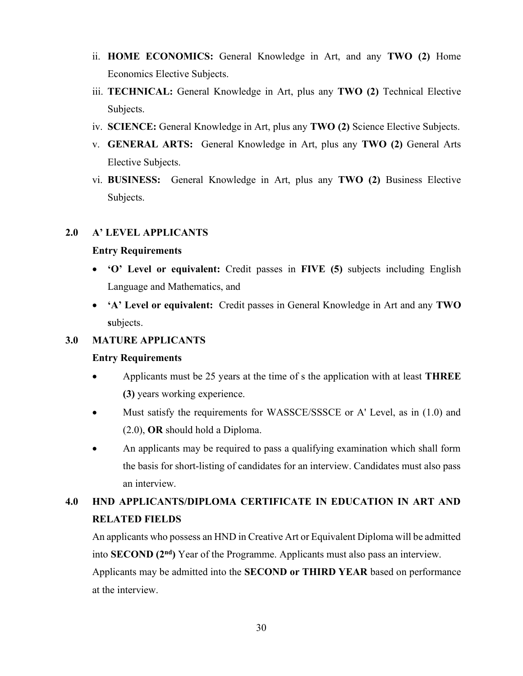- ii. HOME ECONOMICS: General Knowledge in Art, and any TWO (2) Home Economics Elective Subjects.
- iii. TECHNICAL: General Knowledge in Art, plus any TWO (2) Technical Elective Subjects.
- iv. SCIENCE: General Knowledge in Art, plus any TWO (2) Science Elective Subjects.
- v. GENERAL ARTS: General Knowledge in Art, plus any TWO (2) General Arts Elective Subjects.
- vi. BUSINESS: General Knowledge in Art, plus any TWO (2) Business Elective Subjects.

#### 2.0 A' LEVEL APPLICANTS

#### Entry Requirements

- 'O' Level or equivalent: Credit passes in FIVE (5) subjects including English Language and Mathematics, and
- 'A' Level or equivalent: Credit passes in General Knowledge in Art and any TWO subjects.

## 3.0 MATURE APPLICANTS

#### Entry Requirements

- Applicants must be 25 years at the time of s the application with at least THREE (3) years working experience.
- Must satisfy the requirements for WASSCE/SSSCE or A' Level, as in (1.0) and (2.0), OR should hold a Diploma.
- An applicants may be required to pass a qualifying examination which shall form the basis for short-listing of candidates for an interview. Candidates must also pass an interview.

## 4.0 HND APPLICANTS/DIPLOMA CERTIFICATE IN EDUCATION IN ART AND RELATED FIELDS

An applicants who possess an HND in Creative Art or Equivalent Diploma will be admitted into **SECOND**  $(2<sup>nd</sup>)$  Year of the Programme. Applicants must also pass an interview.

Applicants may be admitted into the SECOND or THIRD YEAR based on performance at the interview.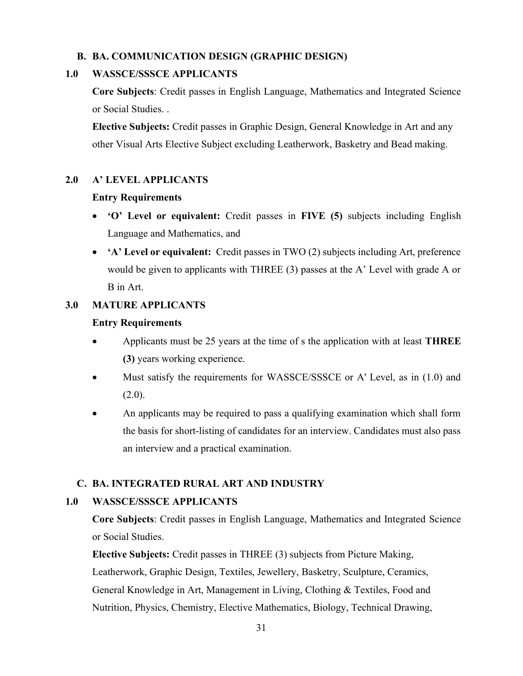## B. BA. COMMUNICATION DESIGN (GRAPHIC DESIGN)

### 1.0 WASSCE/SSSCE APPLICANTS

Core Subjects: Credit passes in English Language, Mathematics and Integrated Science or Social Studies. .

Elective Subjects: Credit passes in Graphic Design, General Knowledge in Art and any other Visual Arts Elective Subject excluding Leatherwork, Basketry and Bead making.

## 2.0 A' LEVEL APPLICANTS

### Entry Requirements

- 'O' Level or equivalent: Credit passes in FIVE (5) subjects including English Language and Mathematics, and
- 'A' Level or equivalent: Credit passes in TWO (2) subjects including Art, preference would be given to applicants with THREE (3) passes at the A' Level with grade A or B in Art.

### 3.0 MATURE APPLICANTS

### Entry Requirements

- Applicants must be 25 years at the time of s the application with at least **THREE** (3) years working experience.
- Must satisfy the requirements for WASSCE/SSSCE or A' Level, as in (1.0) and  $(2.0).$
- An applicants may be required to pass a qualifying examination which shall form the basis for short-listing of candidates for an interview. Candidates must also pass an interview and a practical examination.

## C. BA. INTEGRATED RURAL ART AND INDUSTRY

### 1.0 WASSCE/SSSCE APPLICANTS

Core Subjects: Credit passes in English Language, Mathematics and Integrated Science or Social Studies.

Elective Subjects: Credit passes in THREE (3) subjects from Picture Making, Leatherwork, Graphic Design, Textiles, Jewellery, Basketry, Sculpture, Ceramics, General Knowledge in Art, Management in Living, Clothing & Textiles, Food and Nutrition, Physics, Chemistry, Elective Mathematics, Biology, Technical Drawing,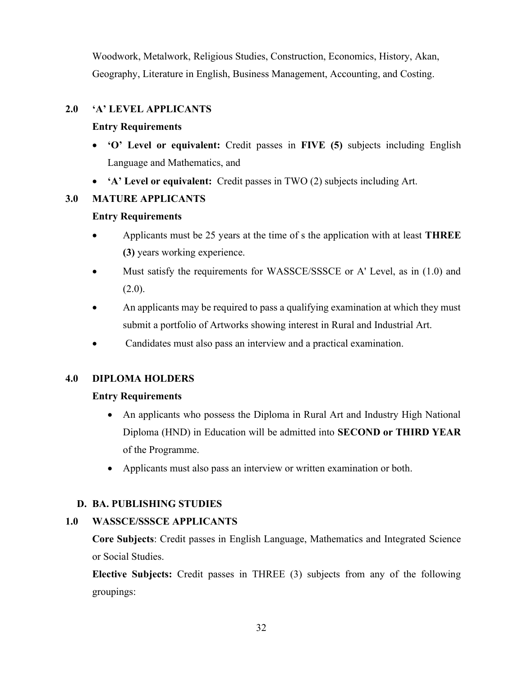Woodwork, Metalwork, Religious Studies, Construction, Economics, History, Akan, Geography, Literature in English, Business Management, Accounting, and Costing.

## 2.0 'A' LEVEL APPLICANTS

## Entry Requirements

- 'O' Level or equivalent: Credit passes in FIVE (5) subjects including English Language and Mathematics, and
- 'A' Level or equivalent: Credit passes in TWO (2) subjects including Art.

## 3.0 MATURE APPLICANTS

## Entry Requirements

- Applicants must be 25 years at the time of s the application with at least THREE (3) years working experience.
- Must satisfy the requirements for WASSCE/SSSCE or A' Level, as in (1.0) and  $(2.0).$
- An applicants may be required to pass a qualifying examination at which they must submit a portfolio of Artworks showing interest in Rural and Industrial Art.
- Candidates must also pass an interview and a practical examination.

## 4.0 DIPLOMA HOLDERS

## Entry Requirements

- An applicants who possess the Diploma in Rural Art and Industry High National Diploma (HND) in Education will be admitted into SECOND or THIRD YEAR of the Programme.
- Applicants must also pass an interview or written examination or both.

## D. BA. PUBLISHING STUDIES

## 1.0 WASSCE/SSSCE APPLICANTS

Core Subjects: Credit passes in English Language, Mathematics and Integrated Science or Social Studies.

Elective Subjects: Credit passes in THREE (3) subjects from any of the following groupings: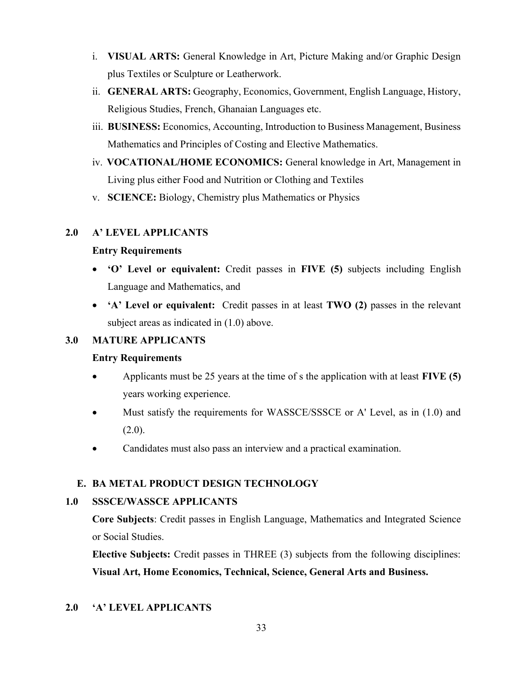- i. VISUAL ARTS: General Knowledge in Art, Picture Making and/or Graphic Design plus Textiles or Sculpture or Leatherwork.
- ii. GENERAL ARTS: Geography, Economics, Government, English Language, History, Religious Studies, French, Ghanaian Languages etc.
- iii. BUSINESS: Economics, Accounting, Introduction to Business Management, Business Mathematics and Principles of Costing and Elective Mathematics.
- iv. VOCATIONAL/HOME ECONOMICS: General knowledge in Art, Management in Living plus either Food and Nutrition or Clothing and Textiles
- v. SCIENCE: Biology, Chemistry plus Mathematics or Physics

## 2.0 A' LEVEL APPLICANTS

## Entry Requirements

- 'O' Level or equivalent: Credit passes in FIVE (5) subjects including English Language and Mathematics, and
- 'A' Level or equivalent: Credit passes in at least TWO (2) passes in the relevant subject areas as indicated in (1.0) above.

## 3.0 MATURE APPLICANTS

## Entry Requirements

- Applicants must be 25 years at the time of s the application with at least  $FIVE (5)$ years working experience.
- Must satisfy the requirements for WASSCE/SSSCE or A' Level, as in (1.0) and  $(2.0).$
- Candidates must also pass an interview and a practical examination.

## E. BA METAL PRODUCT DESIGN TECHNOLOGY

## 1.0 SSSCE/WASSCE APPLICANTS

Core Subjects: Credit passes in English Language, Mathematics and Integrated Science or Social Studies.

Elective Subjects: Credit passes in THREE (3) subjects from the following disciplines: Visual Art, Home Economics, Technical, Science, General Arts and Business.

## 2.0 'A' LEVEL APPLICANTS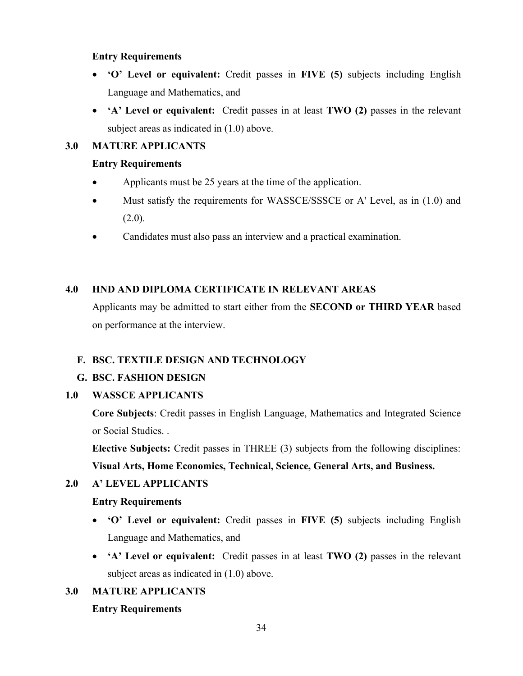### Entry Requirements

- 'O' Level or equivalent: Credit passes in FIVE (5) subjects including English Language and Mathematics, and
- 'A' Level or equivalent: Credit passes in at least TWO (2) passes in the relevant subject areas as indicated in  $(1.0)$  above.

## 3.0 MATURE APPLICANTS

## Entry Requirements

- Applicants must be 25 years at the time of the application.
- Must satisfy the requirements for WASSCE/SSSCE or A' Level, as in (1.0) and  $(2.0).$
- Candidates must also pass an interview and a practical examination.

## 4.0 HND AND DIPLOMA CERTIFICATE IN RELEVANT AREAS

Applicants may be admitted to start either from the SECOND or THIRD YEAR based on performance at the interview.

## F. BSC. TEXTILE DESIGN AND TECHNOLOGY

## G. BSC. FASHION DESIGN

## 1.0 WASSCE APPLICANTS

Core Subjects: Credit passes in English Language, Mathematics and Integrated Science or Social Studies. .

Elective Subjects: Credit passes in THREE (3) subjects from the following disciplines: Visual Arts, Home Economics, Technical, Science, General Arts, and Business.

## 2.0 A' LEVEL APPLICANTS

## Entry Requirements

- 'O' Level or equivalent: Credit passes in FIVE (5) subjects including English Language and Mathematics, and
- 'A' Level or equivalent: Credit passes in at least TWO (2) passes in the relevant subject areas as indicated in  $(1.0)$  above.

## 3.0 MATURE APPLICANTS

## Entry Requirements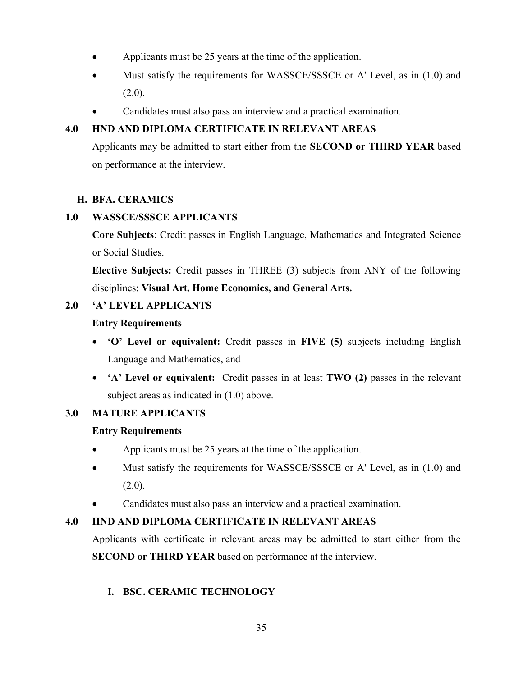- Applicants must be 25 years at the time of the application.
- Must satisfy the requirements for WASSCE/SSSCE or A' Level, as in (1.0) and  $(2.0).$
- Candidates must also pass an interview and a practical examination.

## 4.0 HND AND DIPLOMA CERTIFICATE IN RELEVANT AREAS

Applicants may be admitted to start either from the SECOND or THIRD YEAR based on performance at the interview.

## H. BFA. CERAMICS

## 1.0 WASSCE/SSSCE APPLICANTS

Core Subjects: Credit passes in English Language, Mathematics and Integrated Science or Social Studies.

Elective Subjects: Credit passes in THREE (3) subjects from ANY of the following disciplines: Visual Art, Home Economics, and General Arts.

## 2.0 'A' LEVEL APPLICANTS

## Entry Requirements

- 'O' Level or equivalent: Credit passes in FIVE (5) subjects including English Language and Mathematics, and
- 'A' Level or equivalent: Credit passes in at least TWO (2) passes in the relevant subject areas as indicated in (1.0) above.

## 3.0 MATURE APPLICANTS

## Entry Requirements

- Applicants must be 25 years at the time of the application.
- Must satisfy the requirements for WASSCE/SSSCE or A' Level, as in (1.0) and  $(2.0).$
- Candidates must also pass an interview and a practical examination.

## 4.0 HND AND DIPLOMA CERTIFICATE IN RELEVANT AREAS

Applicants with certificate in relevant areas may be admitted to start either from the SECOND or THIRD YEAR based on performance at the interview.

## I. BSC. CERAMIC TECHNOLOGY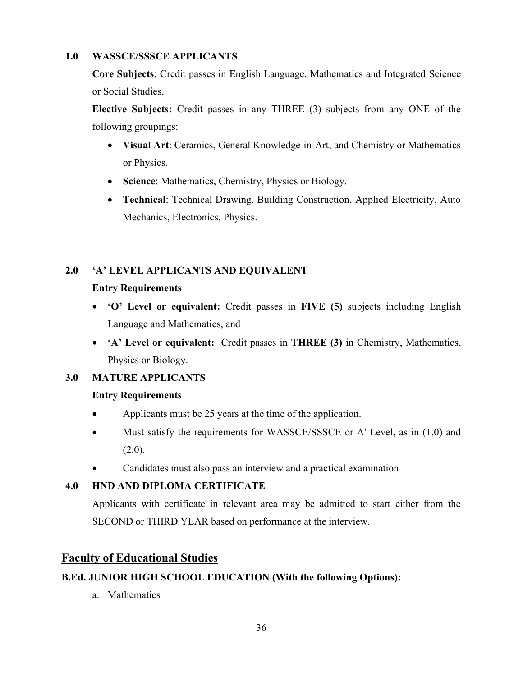## 1.0 WASSCE/SSSCE APPLICANTS

Core Subjects: Credit passes in English Language, Mathematics and Integrated Science or Social Studies.

Elective Subjects: Credit passes in any THREE (3) subjects from any ONE of the following groupings:

- Visual Art: Ceramics, General Knowledge-in-Art, and Chemistry or Mathematics or Physics.
- Science: Mathematics, Chemistry, Physics or Biology.
- Technical: Technical Drawing, Building Construction, Applied Electricity, Auto Mechanics, Electronics, Physics.

## 2.0 'A' LEVEL APPLICANTS AND EQUIVALENT

## Entry Requirements

- 'O' Level or equivalent: Credit passes in FIVE (5) subjects including English Language and Mathematics, and
- 'A' Level or equivalent: Credit passes in THREE (3) in Chemistry, Mathematics, Physics or Biology.

## 3.0 MATURE APPLICANTS

## Entry Requirements

- Applicants must be 25 years at the time of the application.
- Must satisfy the requirements for WASSCE/SSSCE or A' Level, as in (1.0) and  $(2.0).$
- Candidates must also pass an interview and a practical examination

## 4.0 HND AND DIPLOMA CERTIFICATE

Applicants with certificate in relevant area may be admitted to start either from the SECOND or THIRD YEAR based on performance at the interview.

## Faculty of Educational Studies

## B.Ed. JUNIOR HIGH SCHOOL EDUCATION (With the following Options):

a. Mathematics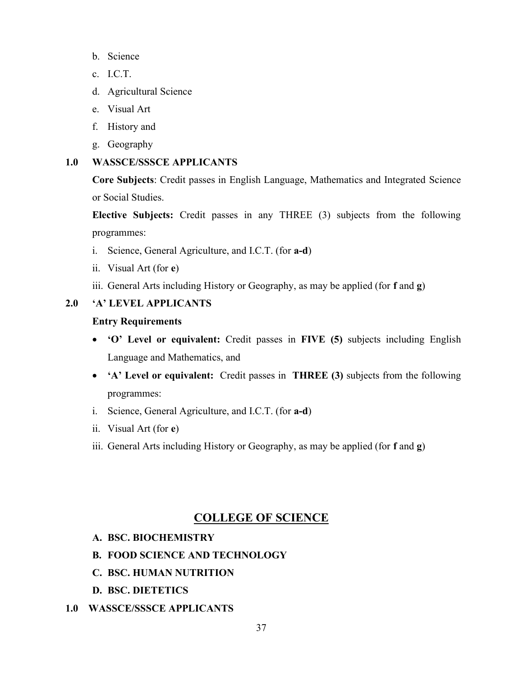- b. Science
- c. I.C.T.
- d. Agricultural Science
- e. Visual Art
- f. History and
- g. Geography

## 1.0 WASSCE/SSSCE APPLICANTS

Core Subjects: Credit passes in English Language, Mathematics and Integrated Science or Social Studies.

Elective Subjects: Credit passes in any THREE (3) subjects from the following programmes:

- i. Science, General Agriculture, and I.C.T. (for a-d)
- ii. Visual Art (for e)
- iii. General Arts including History or Geography, as may be applied (for f and g)

### 2.0 'A' LEVEL APPLICANTS

#### Entry Requirements

- 'O' Level or equivalent: Credit passes in FIVE (5) subjects including English Language and Mathematics, and
- 'A' Level or equivalent: Credit passes in THREE (3) subjects from the following programmes:
- i. Science, General Agriculture, and I.C.T. (for a-d)
- ii. Visual Art (for e)
- iii. General Arts including History or Geography, as may be applied (for f and g)

## COLLEGE OF SCIENCE

- A. BSC. BIOCHEMISTRY
- B. FOOD SCIENCE AND TECHNOLOGY
- C. BSC. HUMAN NUTRITION
- D. BSC. DIETETICS
- 1.0 WASSCE/SSSCE APPLICANTS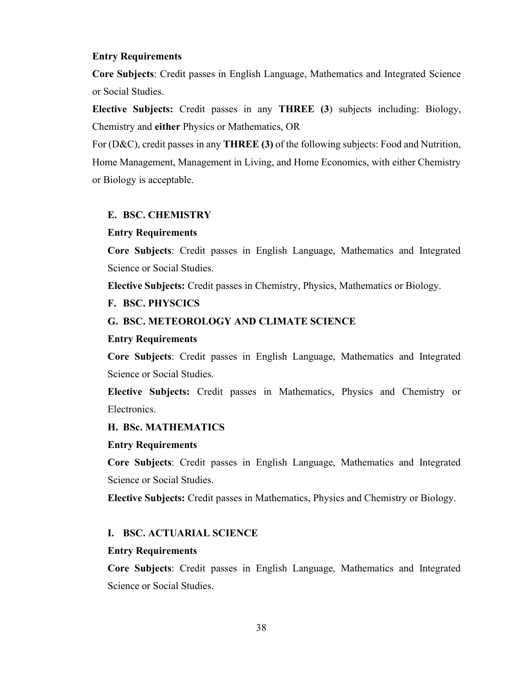#### Entry Requirements

Core Subjects: Credit passes in English Language, Mathematics and Integrated Science or Social Studies.

Elective Subjects: Credit passes in any THREE (3) subjects including: Biology, Chemistry and either Physics or Mathematics, OR

For (D&C), credit passes in any **THREE** (3) of the following subjects: Food and Nutrition, Home Management, Management in Living, and Home Economics, with either Chemistry or Biology is acceptable.

#### E. BSC. CHEMISTRY

#### Entry Requirements

Core Subjects: Credit passes in English Language, Mathematics and Integrated Science or Social Studies.

Elective Subjects: Credit passes in Chemistry, Physics, Mathematics or Biology.

#### F. BSC. PHYSCICS

#### G. BSC. METEOROLOGY AND CLIMATE SCIENCE

#### Entry Requirements

Core Subjects: Credit passes in English Language, Mathematics and Integrated Science or Social Studies.

Elective Subjects: Credit passes in Mathematics, Physics and Chemistry or Electronics.

#### H. BSc. MATHEMATICS

#### Entry Requirements

Core Subjects: Credit passes in English Language, Mathematics and Integrated Science or Social Studies.

Elective Subjects: Credit passes in Mathematics, Physics and Chemistry or Biology.

#### I. BSC. ACTUARIAL SCIENCE

#### Entry Requirements

Core Subjects: Credit passes in English Language, Mathematics and Integrated Science or Social Studies.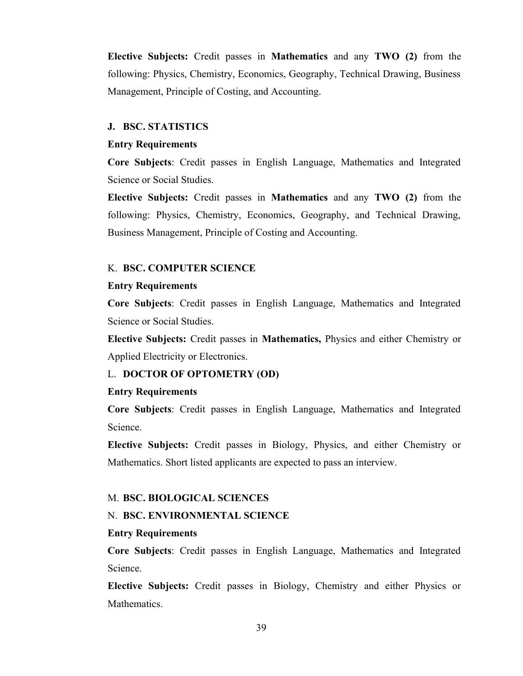Elective Subjects: Credit passes in Mathematics and any TWO (2) from the following: Physics, Chemistry, Economics, Geography, Technical Drawing, Business Management, Principle of Costing, and Accounting.

#### J. BSC. STATISTICS

#### Entry Requirements

Core Subjects: Credit passes in English Language, Mathematics and Integrated Science or Social Studies.

Elective Subjects: Credit passes in Mathematics and any TWO (2) from the following: Physics, Chemistry, Economics, Geography, and Technical Drawing, Business Management, Principle of Costing and Accounting.

#### K. BSC. COMPUTER SCIENCE

#### Entry Requirements

Core Subjects: Credit passes in English Language, Mathematics and Integrated Science or Social Studies.

Elective Subjects: Credit passes in Mathematics, Physics and either Chemistry or Applied Electricity or Electronics.

#### L. DOCTOR OF OPTOMETRY (OD)

#### Entry Requirements

Core Subjects: Credit passes in English Language, Mathematics and Integrated Science.

Elective Subjects: Credit passes in Biology, Physics, and either Chemistry or Mathematics. Short listed applicants are expected to pass an interview.

#### M. BSC. BIOLOGICAL SCIENCES

#### N. BSC. ENVIRONMENTAL SCIENCE

#### Entry Requirements

Core Subjects: Credit passes in English Language, Mathematics and Integrated Science.

Elective Subjects: Credit passes in Biology, Chemistry and either Physics or Mathematics.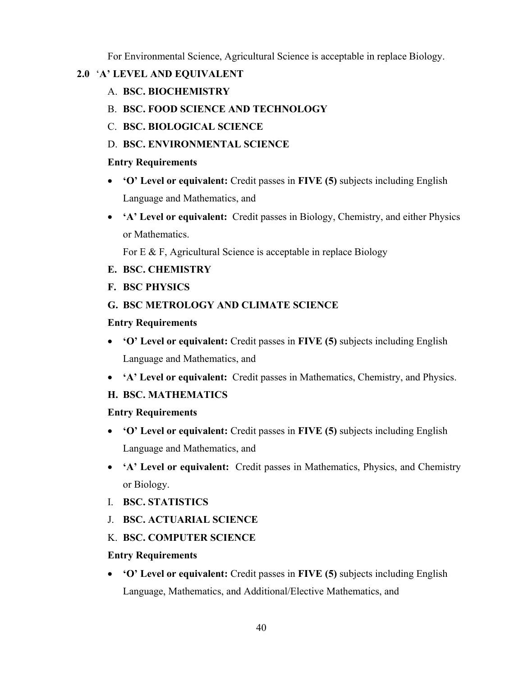For Environmental Science, Agricultural Science is acceptable in replace Biology.

## 2.0 'A' LEVEL AND EQUIVALENT

- A. BSC. BIOCHEMISTRY
- B. BSC. FOOD SCIENCE AND TECHNOLOGY
- C. BSC. BIOLOGICAL SCIENCE
- D. BSC. ENVIRONMENTAL SCIENCE

## Entry Requirements

- 'O' Level or equivalent: Credit passes in FIVE (5) subjects including English Language and Mathematics, and
- 'A' Level or equivalent: Credit passes in Biology, Chemistry, and either Physics or Mathematics.

For E & F, Agricultural Science is acceptable in replace Biology

- E. BSC. CHEMISTRY
- F. BSC PHYSICS

## G. BSC METROLOGY AND CLIMATE SCIENCE

## Entry Requirements

- 'O' Level or equivalent: Credit passes in FIVE (5) subjects including English Language and Mathematics, and
- 'A' Level or equivalent: Credit passes in Mathematics, Chemistry, and Physics.

## H. BSC. MATHEMATICS

## Entry Requirements

- 'O' Level or equivalent: Credit passes in FIVE (5) subjects including English Language and Mathematics, and
- 'A' Level or equivalent: Credit passes in Mathematics, Physics, and Chemistry or Biology.
- I. BSC. STATISTICS
- J. BSC. ACTUARIAL SCIENCE

## K. BSC. COMPUTER SCIENCE

## Entry Requirements

 'O' Level or equivalent: Credit passes in FIVE (5) subjects including English Language, Mathematics, and Additional/Elective Mathematics, and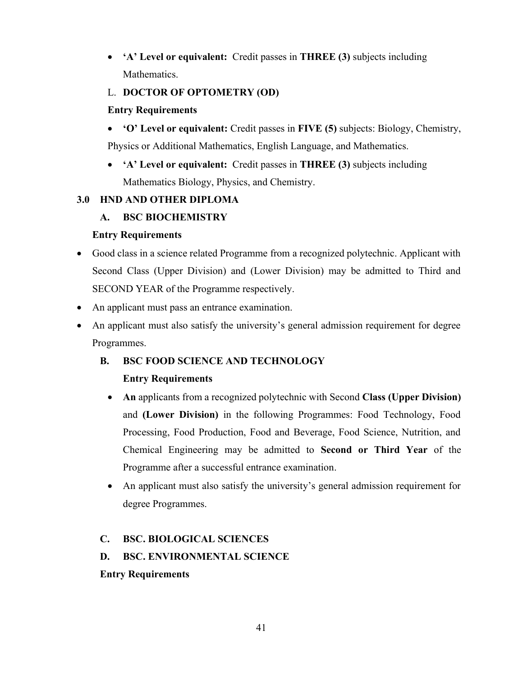'A' Level or equivalent: Credit passes in THREE (3) subjects including Mathematics.

## L. DOCTOR OF OPTOMETRY (OD)

## Entry Requirements

- 'O' Level or equivalent: Credit passes in FIVE (5) subjects: Biology, Chemistry, Physics or Additional Mathematics, English Language, and Mathematics.
- 'A' Level or equivalent: Credit passes in THREE (3) subjects including Mathematics Biology, Physics, and Chemistry.

## 3.0 HND AND OTHER DIPLOMA

## A. BSC BIOCHEMISTRY

## Entry Requirements

- Good class in a science related Programme from a recognized polytechnic. Applicant with Second Class (Upper Division) and (Lower Division) may be admitted to Third and SECOND YEAR of the Programme respectively.
- An applicant must pass an entrance examination.
- An applicant must also satisfy the university's general admission requirement for degree Programmes.

## B. BSC FOOD SCIENCE AND TECHNOLOGY

## Entry Requirements

- An applicants from a recognized polytechnic with Second Class (Upper Division) and (Lower Division) in the following Programmes: Food Technology, Food Processing, Food Production, Food and Beverage, Food Science, Nutrition, and Chemical Engineering may be admitted to Second or Third Year of the Programme after a successful entrance examination.
- An applicant must also satisfy the university's general admission requirement for degree Programmes.

## C. BSC. BIOLOGICAL SCIENCES

## D. BSC. ENVIRONMENTAL SCIENCE

## Entry Requirements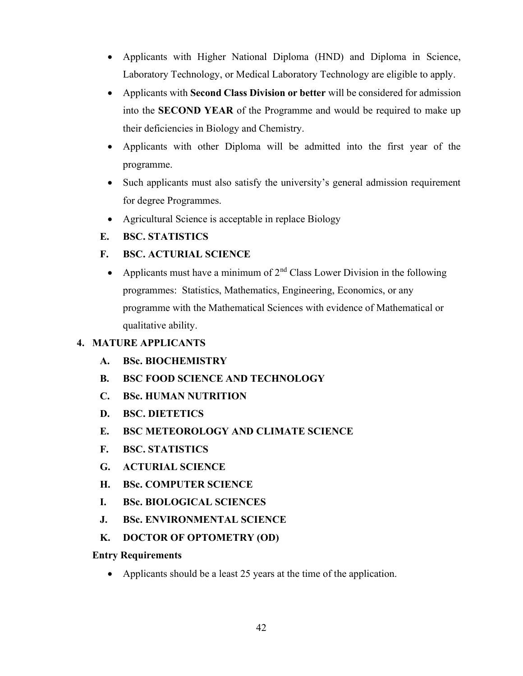- Applicants with Higher National Diploma (HND) and Diploma in Science, Laboratory Technology, or Medical Laboratory Technology are eligible to apply.
- Applicants with **Second Class Division or better** will be considered for admission into the SECOND YEAR of the Programme and would be required to make up their deficiencies in Biology and Chemistry.
- Applicants with other Diploma will be admitted into the first year of the programme.
- Such applicants must also satisfy the university's general admission requirement for degree Programmes.
- Agricultural Science is acceptable in replace Biology
- E. BSC. STATISTICS
- F. BSC. ACTURIAL SCIENCE
	- Applicants must have a minimum of  $2<sup>nd</sup>$  Class Lower Division in the following programmes: Statistics, Mathematics, Engineering, Economics, or any programme with the Mathematical Sciences with evidence of Mathematical or qualitative ability.

## 4. MATURE APPLICANTS

- A. BSc. BIOCHEMISTRY
- B. BSC FOOD SCIENCE AND TECHNOLOGY
- C. BSc. HUMAN NUTRITION
- D. BSC. DIETETICS
- E. BSC METEOROLOGY AND CLIMATE SCIENCE
- F. BSC. STATISTICS
- G. ACTURIAL SCIENCE
- H. BSc. COMPUTER SCIENCE
- I. BSc. BIOLOGICAL SCIENCES
- J. BSc. ENVIRONMENTAL SCIENCE
- K. DOCTOR OF OPTOMETRY (OD)

### Entry Requirements

• Applicants should be a least 25 years at the time of the application.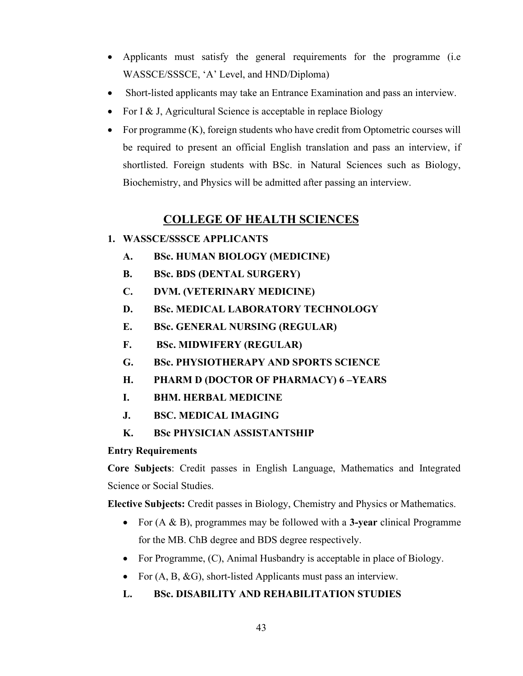- Applicants must satisfy the general requirements for the programme (i.e WASSCE/SSSCE, 'A' Level, and HND/Diploma)
- Short-listed applicants may take an Entrance Examination and pass an interview.
- For I & J, Agricultural Science is acceptable in replace Biology
- For programme (K), foreign students who have credit from Optometric courses will be required to present an official English translation and pass an interview, if shortlisted. Foreign students with BSc. in Natural Sciences such as Biology, Biochemistry, and Physics will be admitted after passing an interview.

## COLLEGE OF HEALTH SCIENCES

- 1. WASSCE/SSSCE APPLICANTS
	- A. BSc. HUMAN BIOLOGY (MEDICINE)
	- B. BSc. BDS (DENTAL SURGERY)
	- C. DVM. (VETERINARY MEDICINE)
	- D. BSc. MEDICAL LABORATORY TECHNOLOGY
	- E. BSc. GENERAL NURSING (REGULAR)
	- F. BSc. MIDWIFERY (REGULAR)
	- G. BSc. PHYSIOTHERAPY AND SPORTS SCIENCE
	- H. PHARM D (DOCTOR OF PHARMACY) 6 –YEARS
	- I. BHM. HERBAL MEDICINE
	- J. BSC. MEDICAL IMAGING
	- K. BSc PHYSICIAN ASSISTANTSHIP

## Entry Requirements

Core Subjects: Credit passes in English Language, Mathematics and Integrated Science or Social Studies.

Elective Subjects: Credit passes in Biology, Chemistry and Physics or Mathematics.

- For (A & B), programmes may be followed with a 3-year clinical Programme for the MB. ChB degree and BDS degree respectively.
- For Programme, (C), Animal Husbandry is acceptable in place of Biology.
- For  $(A, B, \& G)$ , short-listed Applicants must pass an interview.

## L. BSc. DISABILITY AND REHABILITATION STUDIES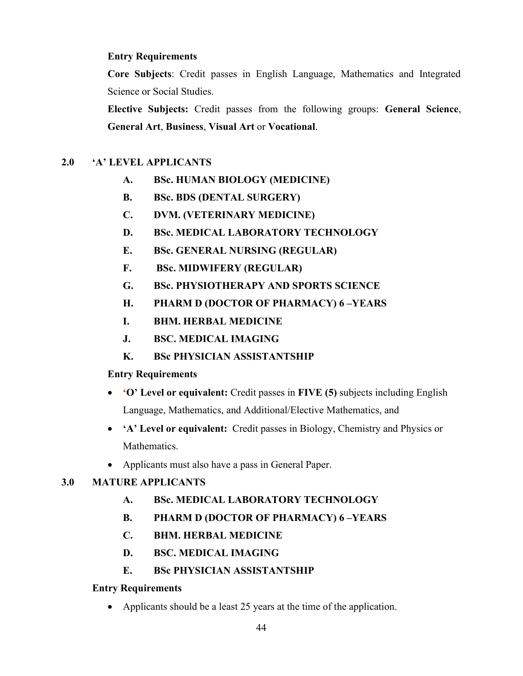## Entry Requirements

Core Subjects: Credit passes in English Language, Mathematics and Integrated Science or Social Studies.

Elective Subjects: Credit passes from the following groups: General Science, General Art, Business, Visual Art or Vocational.

## 2.0 'A' LEVEL APPLICANTS

- A. BSc. HUMAN BIOLOGY (MEDICINE)
- B. BSc. BDS (DENTAL SURGERY)
- C. DVM. (VETERINARY MEDICINE)
- D. BSc. MEDICAL LABORATORY TECHNOLOGY
- E. BSc. GENERAL NURSING (REGULAR)
- F. BSc. MIDWIFERY (REGULAR)
- G. BSc. PHYSIOTHERAPY AND SPORTS SCIENCE
- H. PHARM D (DOCTOR OF PHARMACY) 6 –YEARS
- I. BHM. HERBAL MEDICINE
- J. BSC. MEDICAL IMAGING
- K. BSc PHYSICIAN ASSISTANTSHIP

## Entry Requirements

- 'O' Level or equivalent: Credit passes in FIVE (5) subjects including English Language, Mathematics, and Additional/Elective Mathematics, and
- 'A' Level or equivalent: Credit passes in Biology, Chemistry and Physics or Mathematics.
- Applicants must also have a pass in General Paper.

## 3.0 MATURE APPLICANTS

- A. BSc. MEDICAL LABORATORY TECHNOLOGY
- B. PHARM D (DOCTOR OF PHARMACY) 6 –YEARS
- C. BHM. HERBAL MEDICINE
- D. BSC. MEDICAL IMAGING
- E. BSc PHYSICIAN ASSISTANTSHIP

## Entry Requirements

• Applicants should be a least 25 years at the time of the application.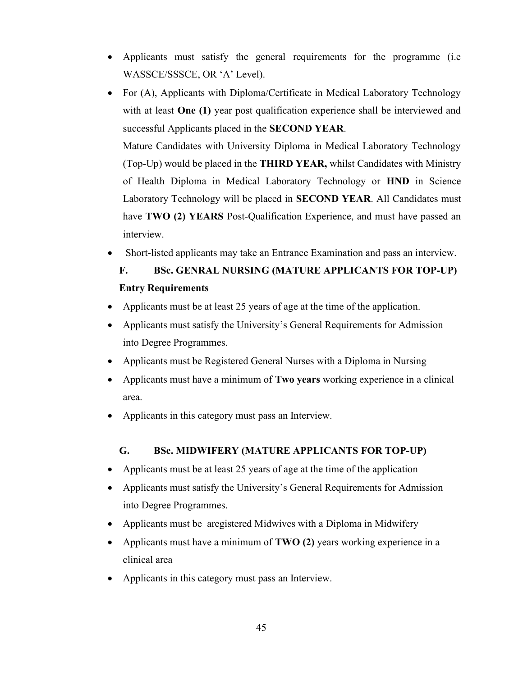- Applicants must satisfy the general requirements for the programme (i.e WASSCE/SSSCE, OR 'A' Level).
- For (A), Applicants with Diploma/Certificate in Medical Laboratory Technology with at least **One (1)** year post qualification experience shall be interviewed and successful Applicants placed in the SECOND YEAR. Mature Candidates with University Diploma in Medical Laboratory Technology (Top-Up) would be placed in the THIRD YEAR, whilst Candidates with Ministry of Health Diploma in Medical Laboratory Technology or HND in Science Laboratory Technology will be placed in SECOND YEAR. All Candidates must have TWO (2) YEARS Post-Qualification Experience, and must have passed an interview.
- Short-listed applicants may take an Entrance Examination and pass an interview.

# F. BSc. GENRAL NURSING (MATURE APPLICANTS FOR TOP-UP) Entry Requirements

- Applicants must be at least 25 years of age at the time of the application.
- Applicants must satisfy the University's General Requirements for Admission into Degree Programmes.
- Applicants must be Registered General Nurses with a Diploma in Nursing
- Applicants must have a minimum of **Two years** working experience in a clinical area.
- Applicants in this category must pass an Interview.

#### G. BSc. MIDWIFERY (MATURE APPLICANTS FOR TOP-UP)

- Applicants must be at least 25 years of age at the time of the application
- Applicants must satisfy the University's General Requirements for Admission into Degree Programmes.
- Applicants must be aregistered Midwives with a Diploma in Midwifery
- Applicants must have a minimum of TWO (2) years working experience in a clinical area
- Applicants in this category must pass an Interview.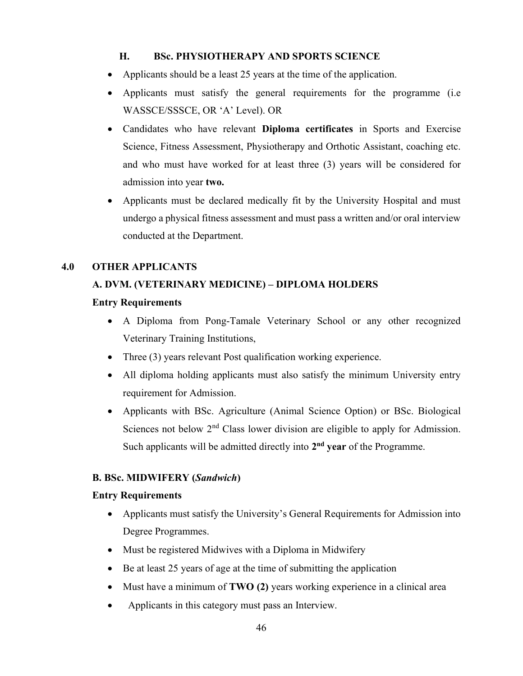## H. BSc. PHYSIOTHERAPY AND SPORTS SCIENCE

- Applicants should be a least 25 years at the time of the application.
- Applicants must satisfy the general requirements for the programme (i.e WASSCE/SSSCE, OR 'A' Level). OR
- Candidates who have relevant Diploma certificates in Sports and Exercise Science, Fitness Assessment, Physiotherapy and Orthotic Assistant, coaching etc. and who must have worked for at least three (3) years will be considered for admission into year two.
- Applicants must be declared medically fit by the University Hospital and must undergo a physical fitness assessment and must pass a written and/or oral interview conducted at the Department.

## 4.0 OTHER APPLICANTS

## A. DVM. (VETERINARY MEDICINE) – DIPLOMA HOLDERS

### Entry Requirements

- A Diploma from Pong-Tamale Veterinary School or any other recognized Veterinary Training Institutions,
- Three (3) years relevant Post qualification working experience.
- All diploma holding applicants must also satisfy the minimum University entry requirement for Admission.
- Applicants with BSc. Agriculture (Animal Science Option) or BSc. Biological Sciences not below 2<sup>nd</sup> Class lower division are eligible to apply for Admission. Such applicants will be admitted directly into 2<sup>nd</sup> year of the Programme.

## B. BSc. MIDWIFERY (Sandwich)

### Entry Requirements

- Applicants must satisfy the University's General Requirements for Admission into Degree Programmes.
- Must be registered Midwives with a Diploma in Midwifery
- Be at least 25 years of age at the time of submitting the application
- Must have a minimum of TWO (2) years working experience in a clinical area
- Applicants in this category must pass an Interview.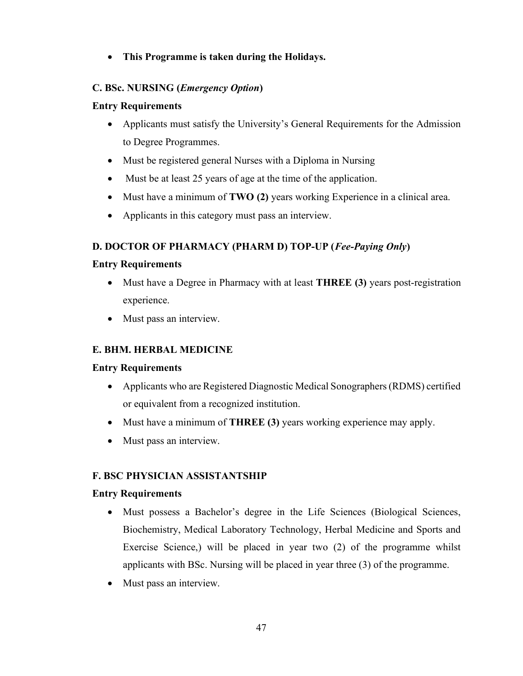This Programme is taken during the Holidays.

## C. BSc. NURSING (Emergency Option)

## Entry Requirements

- Applicants must satisfy the University's General Requirements for the Admission to Degree Programmes.
- Must be registered general Nurses with a Diploma in Nursing
- Must be at least 25 years of age at the time of the application.
- Must have a minimum of TWO (2) years working Experience in a clinical area.
- Applicants in this category must pass an interview.

## D. DOCTOR OF PHARMACY (PHARM D) TOP-UP (Fee-Paying Only)

## Entry Requirements

- Must have a Degree in Pharmacy with at least **THREE (3)** years post-registration experience.
- Must pass an interview.

## E. BHM. HERBAL MEDICINE

## Entry Requirements

- Applicants who are Registered Diagnostic Medical Sonographers (RDMS) certified or equivalent from a recognized institution.
- Must have a minimum of **THREE** (3) years working experience may apply.
- Must pass an interview.

## F. BSC PHYSICIAN ASSISTANTSHIP

## Entry Requirements

- Must possess a Bachelor's degree in the Life Sciences (Biological Sciences, Biochemistry, Medical Laboratory Technology, Herbal Medicine and Sports and Exercise Science,) will be placed in year two (2) of the programme whilst applicants with BSc. Nursing will be placed in year three (3) of the programme.
- Must pass an interview.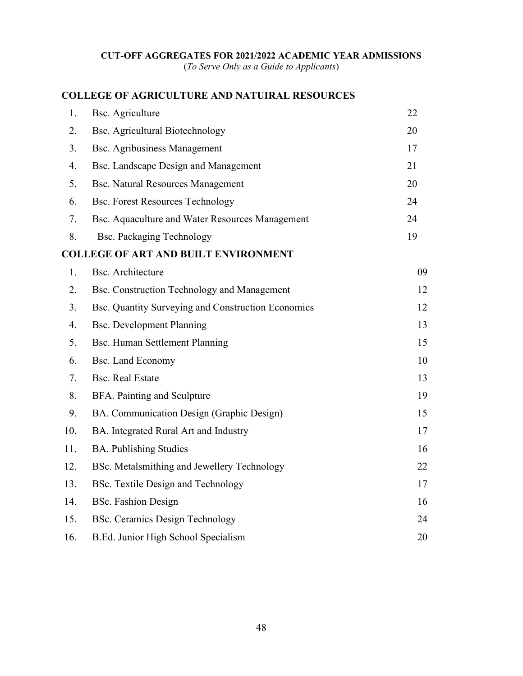### CUT-OFF AGGREGATES FOR 2021/2022 ACADEMIC YEAR ADMISSIONS

(To Serve Only as a Guide to Applicants)

## COLLEGE OF AGRICULTURE AND NATUIRAL RESOURCES

| 1.  | <b>Bsc.</b> Agriculture                            | 22 |
|-----|----------------------------------------------------|----|
| 2.  | <b>Bsc. Agricultural Biotechnology</b>             | 20 |
| 3.  | <b>Bsc. Agribusiness Management</b>                | 17 |
| 4.  | Bsc. Landscape Design and Management               | 21 |
| 5.  | <b>Bsc. Natural Resources Management</b>           | 20 |
| 6.  | <b>Bsc. Forest Resources Technology</b>            | 24 |
| 7.  | Bsc. Aquaculture and Water Resources Management    | 24 |
| 8.  | <b>Bsc. Packaging Technology</b>                   | 19 |
|     | <b>COLLEGE OF ART AND BUILT ENVIRONMENT</b>        |    |
| 1.  | <b>Bsc.</b> Architecture                           | 09 |
| 2.  | Bsc. Construction Technology and Management        | 12 |
| 3.  | Bsc. Quantity Surveying and Construction Economics | 12 |
| 4.  | <b>Bsc. Development Planning</b>                   | 13 |
| 5.  | Bsc. Human Settlement Planning                     | 15 |
| 6.  | <b>Bsc. Land Economy</b>                           | 10 |
| 7.  | <b>Bsc. Real Estate</b>                            | 13 |
| 8.  | BFA. Painting and Sculpture                        | 19 |
| 9.  | BA. Communication Design (Graphic Design)          | 15 |
| 10. | BA. Integrated Rural Art and Industry              | 17 |
| 11. | <b>BA.</b> Publishing Studies                      | 16 |
| 12. | BSc. Metalsmithing and Jewellery Technology        | 22 |
| 13. | BSc. Textile Design and Technology                 | 17 |
| 14. | <b>BSc. Fashion Design</b>                         | 16 |
| 15. | <b>BSc. Ceramics Design Technology</b>             | 24 |
| 16. | B.Ed. Junior High School Specialism                | 20 |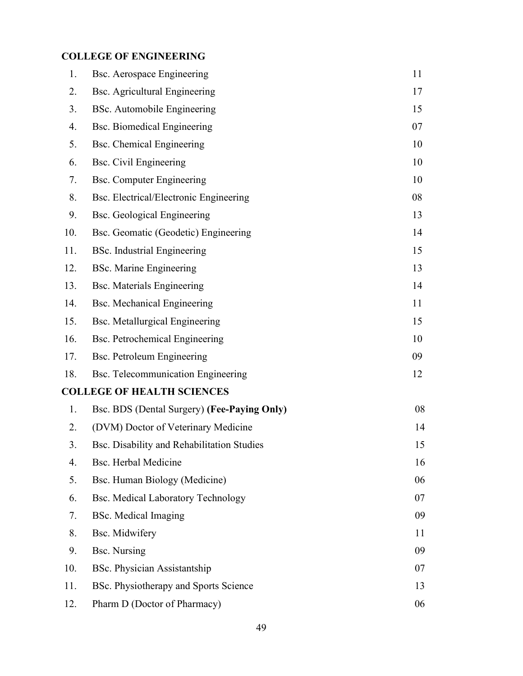## COLLEGE OF ENGINEERING

| 1.  | <b>Bsc. Aerospace Engineering</b>           | 11 |
|-----|---------------------------------------------|----|
| 2.  | <b>Bsc.</b> Agricultural Engineering        | 17 |
| 3.  | BSc. Automobile Engineering                 | 15 |
| 4.  | <b>Bsc. Biomedical Engineering</b>          | 07 |
| 5.  | Bsc. Chemical Engineering                   | 10 |
| 6.  | <b>Bsc.</b> Civil Engineering               | 10 |
| 7.  | <b>Bsc.</b> Computer Engineering            | 10 |
| 8.  | Bsc. Electrical/Electronic Engineering      | 08 |
| 9.  | <b>Bsc.</b> Geological Engineering          | 13 |
| 10. | Bsc. Geomatic (Geodetic) Engineering        | 14 |
| 11. | <b>BSc.</b> Industrial Engineering          | 15 |
| 12. | <b>BSc. Marine Engineering</b>              | 13 |
| 13. | <b>Bsc.</b> Materials Engineering           | 14 |
| 14. | Bsc. Mechanical Engineering                 | 11 |
| 15. | <b>Bsc. Metallurgical Engineering</b>       | 15 |
| 16. | <b>Bsc. Petrochemical Engineering</b>       | 10 |
| 17. | Bsc. Petroleum Engineering                  | 09 |
| 18. | Bsc. Telecommunication Engineering          | 12 |
|     | <b>COLLEGE OF HEALTH SCIENCES</b>           |    |
| 1.  | Bsc. BDS (Dental Surgery) (Fee-Paying Only) | 08 |
| 2.  | (DVM) Doctor of Veterinary Medicine         | 14 |
| 3.  | Bsc. Disability and Rehabilitation Studies  | 15 |
| 4.  | <b>Bsc. Herbal Medicine</b>                 | 16 |
| 5.  | Bsc. Human Biology (Medicine)               | 06 |
| 6.  | <b>Bsc. Medical Laboratory Technology</b>   | 07 |
| 7.  | <b>BSc.</b> Medical Imaging                 | 09 |
| 8.  | Bsc. Midwifery                              | 11 |
| 9.  | <b>Bsc.</b> Nursing                         | 09 |
| 10. | BSc. Physician Assistantship                | 07 |
| 11. | BSc. Physiotherapy and Sports Science       | 13 |
| 12. | Pharm D (Doctor of Pharmacy)                | 06 |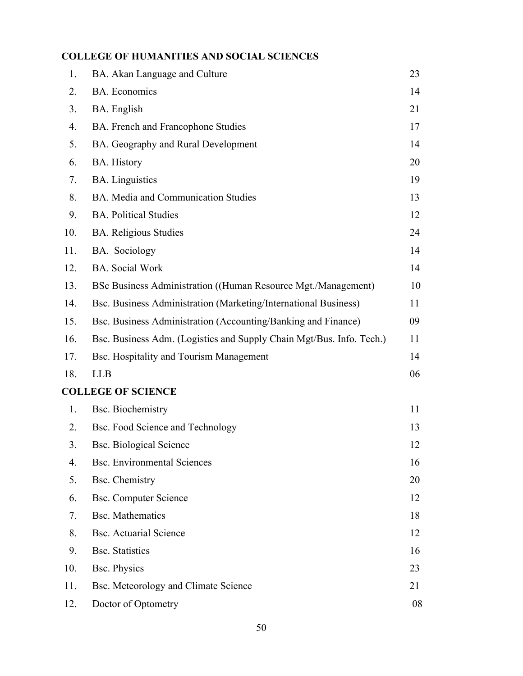## COLLEGE OF HUMANITIES AND SOCIAL SCIENCES

| 1.  | BA. Akan Language and Culture                                        | 23 |
|-----|----------------------------------------------------------------------|----|
| 2.  | <b>BA.</b> Economics                                                 | 14 |
| 3.  | BA. English                                                          | 21 |
| 4.  | BA. French and Francophone Studies                                   | 17 |
| 5.  | BA. Geography and Rural Development                                  | 14 |
| 6.  | <b>BA.</b> History                                                   | 20 |
| 7.  | <b>BA.</b> Linguistics                                               | 19 |
| 8.  | BA. Media and Communication Studies                                  | 13 |
| 9.  | <b>BA. Political Studies</b>                                         | 12 |
| 10. | <b>BA.</b> Religious Studies                                         | 24 |
| 11. | BA. Sociology                                                        | 14 |
| 12. | <b>BA.</b> Social Work                                               | 14 |
| 13. | BSc Business Administration ((Human Resource Mgt./Management)        | 10 |
| 14. | Bsc. Business Administration (Marketing/International Business)      | 11 |
| 15. | Bsc. Business Administration (Accounting/Banking and Finance)        | 09 |
| 16. | Bsc. Business Adm. (Logistics and Supply Chain Mgt/Bus. Info. Tech.) | 11 |
| 17. | Bsc. Hospitality and Tourism Management                              | 14 |
| 18. | <b>LLB</b>                                                           | 06 |
|     | <b>COLLEGE OF SCIENCE</b>                                            |    |
| 1.  | <b>Bsc. Biochemistry</b>                                             | 11 |
| 2.  | Bsc. Food Science and Technology                                     | 13 |
| 3.  | <b>Bsc. Biological Science</b>                                       | 12 |
| 4.  | <b>Bsc. Environmental Sciences</b>                                   | 16 |
| 5.  | Bsc. Chemistry                                                       | 20 |
| 6.  | <b>Bsc. Computer Science</b>                                         | 12 |
| 7.  | <b>Bsc. Mathematics</b>                                              | 18 |
| 8.  | <b>Bsc. Actuarial Science</b>                                        | 12 |
| 9.  | <b>Bsc.</b> Statistics                                               | 16 |
| 10. | <b>Bsc. Physics</b>                                                  | 23 |
| 11. | Bsc. Meteorology and Climate Science                                 | 21 |
| 12. | Doctor of Optometry                                                  | 08 |